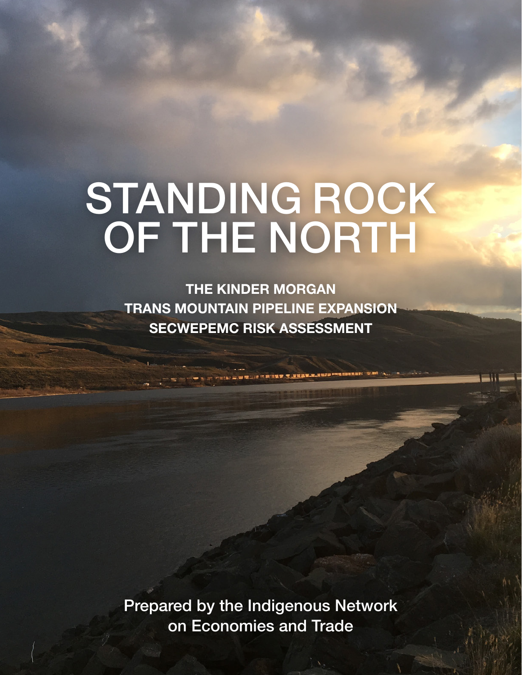# **STANDING ROCK NDING RC The Kinder Morgan**  STANDING ROCK OF THE NORTH

**THE KINDER MORGAN** SECWEPEMC RISK ASSESSMENT TRANS MOUNTAIN PIPELINE EXPANSION

on Economies and Trade

Prepared by the Indigenous Network on Economies and Trade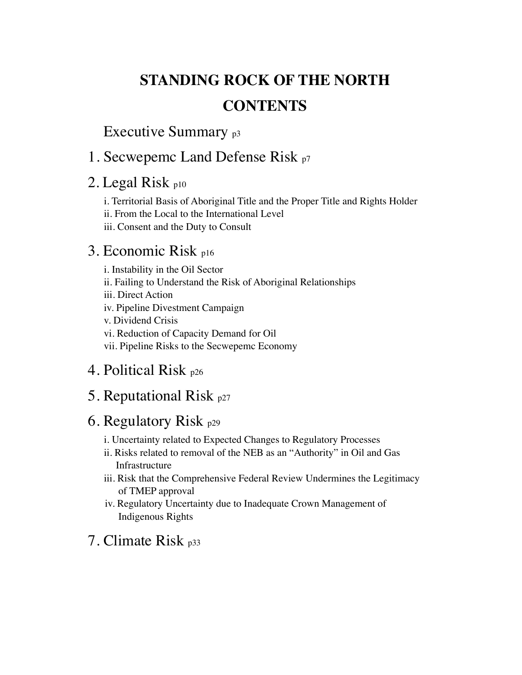# <span id="page-1-0"></span>**STANDING ROCK OF THE NORTH CONTENTS**

Executive Summary <sub>p3</sub>

# [1. Secwepemc Land Defense Risk p7](#page-6-0)

# [2. Legal Risk](#page-9-0) <sub>[p10](#page-9-0)</sub>

[i. Territorial Basis of Aboriginal Title and the Proper Title and Rights Holder](#page-9-0) [ii. From the Local to the International Level](#page-11-0) [iii. Consent and the Duty to Consult](#page-12-0)

# [3. Economic Risk p16](#page-15-0)

[i. Instability in the Oil Sector](#page-15-0) [ii. Failing to Understand the Risk of Aboriginal Relationships](#page-17-0) [iii. Direct Action](#page-18-0) [iv. Pipeline Divestment Campaign](#page-21-0) [v. Dividend Crisis](#page-22-0) [vi. Reduction of Capacity Demand for Oil](#page-23-0)  [vii. Pipeline Risks to the Secwepemc Economy](#page-24-0)

# [4. Political Risk p26](#page-25-0)

# [5. Reputational Risk p27](#page-26-0)

# 6. Regulatory Risk  $p29$

- [i. Uncertainty related to Expected Changes to Regulatory Processes](#page-29-0)
- [ii. Risks related to removal of the NEB as an "Authority" in Oil and Gas](#page-29-0)  [Infrastructure](#page-29-0)
- [iii. Risk that the Comprehensive Federal Review Undermines the Legitimacy](#page-30-0)  [of TMEP approval](#page-30-0)
- [iv. Regulatory Uncertainty due to Inadequate Crown Management of](#page-31-0)  [Indigenous Rights](#page-31-0)

# [7. Climate Risk p33](#page-32-0)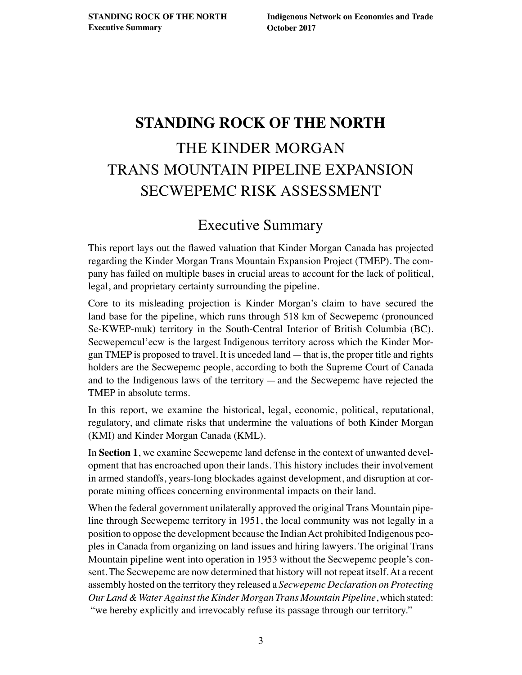# <span id="page-2-0"></span>**STANDING ROCK OF THE NORTH** THE KINDER MORGAN TRANS MOUNTAIN PIPELINE EXPANSION SECWEPEMC RISK ASSESSMENT

# Executive Summary

This report lays out the fawed valuation that Kinder Morgan Canada has projected regarding the Kinder Morgan Trans Mountain Expansion Project (TMEP). The company has failed on multiple bases in crucial areas to account for the lack of political, legal, and proprietary certainty surrounding the pipeline.

Core to its misleading projection is Kinder Morgan's claim to have secured the land base for the pipeline, which runs through 518 km of Secwepemc (pronounced Se-KWEP-muk) territory in the South-Central Interior of British Columbia (BC). Secwepemcul'ecw is the largest Indigenous territory across which the Kinder Morgan TMEP is proposed to travel. It is unceded land—that is, the proper title and rights holders are the Secwepemc people, according to both the Supreme Court of Canada and to the Indigenous laws of the territory —and the Secwepemc have rejected the TMEP in absolute terms.

In this report, we examine the historical, legal, economic, political, reputational, regulatory, and climate risks that undermine the valuations of both Kinder Morgan (KMI) and Kinder Morgan Canada (KML).

In **[Section 1](#page-6-0)**, we examine Secwepemc land defense in the context of unwanted development that has encroached upon their lands. This history includes their involvement in armed standoffs, years-long blockades against development, and disruption at corporate mining offices concerning environmental impacts on their land.

When the federal government unilaterally approved the original Trans Mountain pipeline through Secwepemc territory in 1951, the local community was not legally in a position to oppose the development because the Indian Act prohibited Indigenous peoples in Canada from organizing on land issues and hiring lawyers. The original Trans Mountain pipeline went into operation in 1953 without the Secwepemc people's consent. The Secwepemc are now determined that history will not repeat itself. At a recent assembly hosted on the territory they released a *Secwepemc Declaration on Protecting Our Land & Water Against the Kinder Morgan Trans Mountain Pipeline*, which stated: "we hereby explicitly and irrevocably refuse its passage through our territory."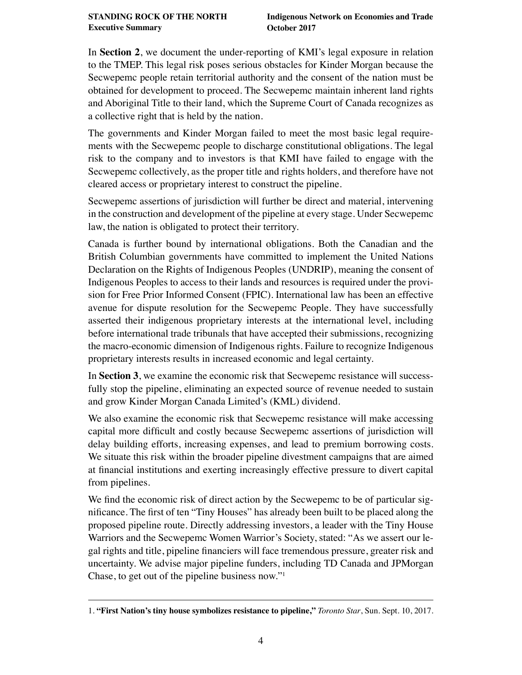In **[Section 2](#page-9-0)**, we document the under-reporting of KMI's legal exposure in relation to the TMEP. This legal risk poses serious obstacles for Kinder Morgan because the Secwepemc people retain territorial authority and the consent of the nation must be obtained for development to proceed. The Secwepemc maintain inherent land rights and Aboriginal Title to their land, which the Supreme Court of Canada recognizes as a collective right that is held by the nation.

The governments and Kinder Morgan failed to meet the most basic legal requirements with the Secwepemc people to discharge constitutional obligations. The legal risk to the company and to investors is that KMI have failed to engage with the Secwepemc collectively, as the proper title and rights holders, and therefore have not cleared access or proprietary interest to construct the pipeline.

Secwepemc assertions of jurisdiction will further be direct and material, intervening in the construction and development of the pipeline at every stage. Under Secwepemc law, the nation is obligated to protect their territory.

Canada is further bound by international obligations. Both the Canadian and the British Columbian governments have committed to implement the United Nations Declaration on the Rights of Indigenous Peoples (UNDRIP), meaning the consent of Indigenous Peoples to access to their lands and resources is required under the provision for Free Prior Informed Consent (FPIC). International law has been an effective avenue for dispute resolution for the Secwepemc People. They have successfully asserted their indigenous proprietary interests at the international level, including before international trade tribunals that have accepted their submissions, recognizing the macro-economic dimension of Indigenous rights. Failure to recognize Indigenous proprietary interests results in increased economic and legal certainty.

In **[Section 3](#page-15-0)**, we examine the economic risk that Secwepemc resistance will successfully stop the pipeline, eliminating an expected source of revenue needed to sustain and grow Kinder Morgan Canada Limited's (KML) dividend.

We also examine the economic risk that Secwepemc resistance will make accessing capital more diffcult and costly because Secwepemc assertions of jurisdiction will delay building efforts, increasing expenses, and lead to premium borrowing costs. We situate this risk within the broader pipeline divestment campaigns that are aimed at fnancial institutions and exerting increasingly effective pressure to divert capital from pipelines.

We fnd the economic risk of direct action by the Secwepemc to be of particular signifcance. The frst of ten "Tiny Houses" has already been built to be placed along the proposed pipeline route. Directly addressing investors, a leader with the Tiny House Warriors and the Secwepemc Women Warrior's Society, stated: "As we assert our legal rights and title, pipeline fnanciers will face tremendous pressure, greater risk and uncertainty. We advise major pipeline funders, including TD Canada and JPMorgan Chase, to get out of the pipeline business now."1

<sup>1.</sup> **["First Nation's tiny house symbolizes resistance to pipeline,"](https://www.thestar.com/opinion/commentary/2017/09/10/first-nations-tiny-house-symbolizes-resistance-to-pipeline.html)** *Toronto Star*, Sun. Sept. 10, 2017.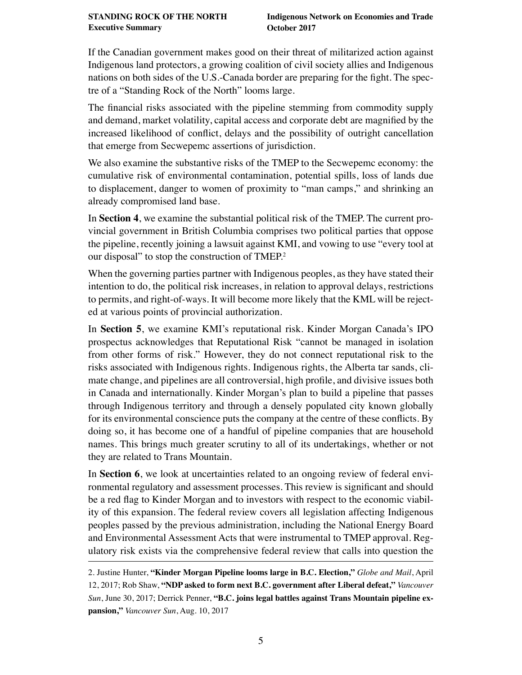If the Canadian government makes good on their threat of militarized action against Indigenous land protectors, a growing coalition of civil society allies and Indigenous nations on both sides of the U.S.-Canada border are preparing for the fght. The spectre of a "Standing Rock of the North" looms large.

The fnancial risks associated with the pipeline stemming from commodity supply and demand, market volatility, capital access and corporate debt are magnifed by the increased likelihood of confict, delays and the possibility of outright cancellation that emerge from Secwepemc assertions of jurisdiction.

We also examine the substantive risks of the TMEP to the Secwepemc economy: the cumulative risk of environmental contamination, potential spills, loss of lands due to displacement, danger to women of proximity to "man camps," and shrinking an already compromised land base.

In **[Section 4](#page-25-0)**, we examine the substantial political risk of the TMEP. The current provincial government in British Columbia comprises two political parties that oppose the pipeline, recently joining a lawsuit against KMI, and vowing to use "every tool at our disposal" to stop the construction of TMEP.2

When the governing parties partner with Indigenous peoples, as they have stated their intention to do, the political risk increases, in relation to approval delays, restrictions to permits, and right-of-ways. It will become more likely that the KML will be rejected at various points of provincial authorization.

In **[Section 5](#page-26-0)**, we examine KMI's reputational risk. Kinder Morgan Canada's IPO prospectus acknowledges that Reputational Risk "cannot be managed in isolation from other forms of risk." However, they do not connect reputational risk to the risks associated with Indigenous rights. Indigenous rights, the Alberta tar sands, climate change, and pipelines are all controversial, high profle, and divisive issues both in Canada and internationally. Kinder Morgan's plan to build a pipeline that passes through Indigenous territory and through a densely populated city known globally for its environmental conscience puts the company at the centre of these conficts. By doing so, it has become one of a handful of pipeline companies that are household names. This brings much greater scrutiny to all of its undertakings, whether or not they are related to Trans Mountain.

In **[Section 6](#page-28-0)**, we look at uncertainties related to an ongoing review of federal environmental regulatory and assessment processes. This review is signifcant and should be a red fag to Kinder Morgan and to investors with respect to the economic viability of this expansion. The federal review covers all legislation affecting Indigenous peoples passed by the previous administration, including the National Energy Board and Environmental Assessment Acts that were instrumental to TMEP approval. Regulatory risk exists via the comprehensive federal review that calls into question the

<sup>2.</sup> Justine Hunter, **["Kinder Morgan Pipeline looms large in B.C. Election,"](https://beta.theglobeandmail.com/news/british-columbia/kinder-morgan-pipeline-looms-large-in-bc-election/article34694658/?ref=http://www.theglobeandmail.com&)** *Globe and Mail*, April 12, 2017; Rob Shaw, **["NDP asked to form next B.C. government after Liberal defeat,"](http://vancouversun.com/news/politics/b-c-ndp-asked-to-form-government-after-liberal-defeat)** *Vancouver Sun*, June 30, 2017; Derrick Penner, **["B.C. joins legal battles against Trans Mountain pipeline ex](http://vancouversun.com/news/local-news/live-b-c-government-to-announce-steps-against-trans-mountain-pipeline)[pansion,"](http://vancouversun.com/news/local-news/live-b-c-government-to-announce-steps-against-trans-mountain-pipeline)** *Vancouver Sun*, Aug. 10, 2017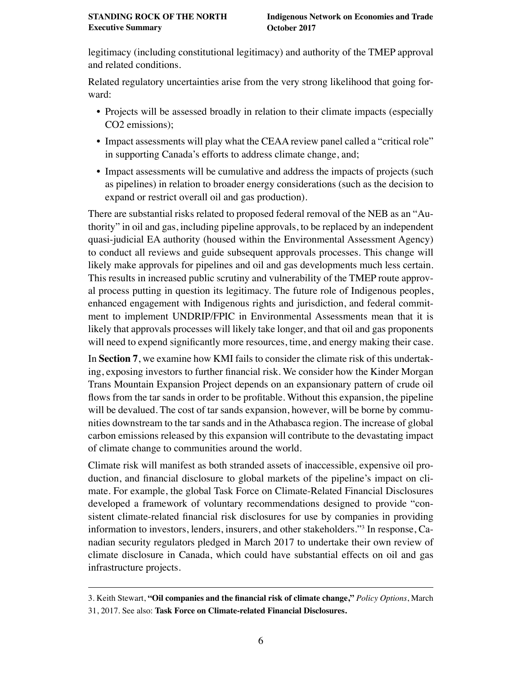legitimacy (including constitutional legitimacy) and authority of the TMEP approval and related conditions.

Related regulatory uncertainties arise from the very strong likelihood that going forward:

- Projects will be assessed broadly in relation to their climate impacts (especially CO2 emissions);
- Impact assessments will play what the CEAA review panel called a "critical role" in supporting Canada's efforts to address climate change, and;
- Impact assessments will be cumulative and address the impacts of projects (such as pipelines) in relation to broader energy considerations (such as the decision to expand or restrict overall oil and gas production).

There are substantial risks related to proposed federal removal of the NEB as an "Authority" in oil and gas, including pipeline approvals, to be replaced by an independent quasi-judicial EA authority (housed within the Environmental Assessment Agency) to conduct all reviews and guide subsequent approvals processes. This change will likely make approvals for pipelines and oil and gas developments much less certain. This results in increased public scrutiny and vulnerability of the TMEP route approval process putting in question its legitimacy. The future role of Indigenous peoples, enhanced engagement with Indigenous rights and jurisdiction, and federal commitment to implement UNDRIP/FPIC in Environmental Assessments mean that it is likely that approvals processes will likely take longer, and that oil and gas proponents will need to expend significantly more resources, time, and energy making their case.

In **[Section 7](#page-32-0)**, we examine how KMI fails to consider the climate risk of this undertaking, exposing investors to further fnancial risk. We consider how the Kinder Morgan Trans Mountain Expansion Project depends on an expansionary pattern of crude oil fows from the tar sands in order to be proftable. Without this expansion, the pipeline will be devalued. The cost of tar sands expansion, however, will be borne by communities downstream to the tar sands and in the Athabasca region. The increase of global carbon emissions released by this expansion will contribute to the devastating impact of climate change to communities around the world.

Climate risk will manifest as both stranded assets of inaccessible, expensive oil production, and fnancial disclosure to global markets of the pipeline's impact on climate. For example, the global Task Force on Climate-Related Financial Disclosures developed a framework of voluntary recommendations designed to provide "consistent climate-related fnancial risk disclosures for use by companies in providing information to investors, lenders, insurers, and other stakeholders."3 In response, Canadian security regulators pledged in March 2017 to undertake their own review of climate disclosure in Canada, which could have substantial effects on oil and gas infrastructure projects.

<sup>3.</sup> Keith Stewart, **["Oil companies and the fnancial risk of climate change,"](http://policyoptions.irpp.org/fr/magazines/mars-2017/oil-companies-and-the-financial-risk-of-climate-change/)** *Policy Options*, March 31, 2017. See also: **[Task Force on Climate-related Financial Disclosures.](https://www.fsb-tcfd.org/)**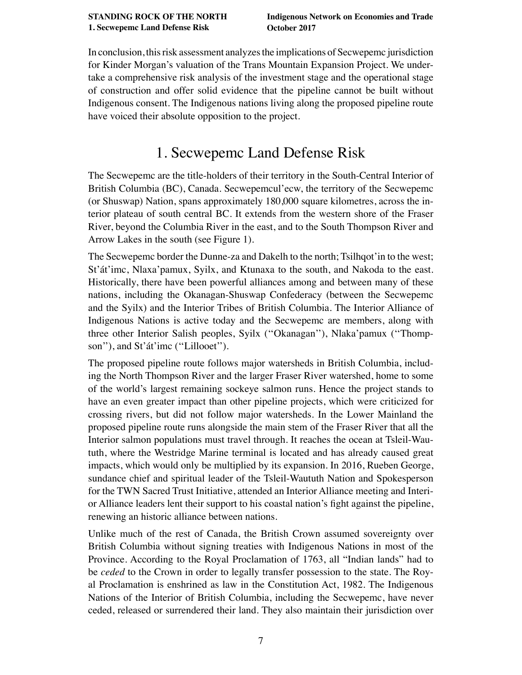<span id="page-6-0"></span>In conclusion, this risk assessment analyzes the implications of Secwepemc jurisdiction for Kinder Morgan's valuation of the Trans Mountain Expansion Project. We undertake a comprehensive risk analysis of the investment stage and the operational stage of construction and offer solid evidence that the pipeline cannot be built without Indigenous consent. The Indigenous nations living along the proposed pipeline route have voiced their absolute opposition to the project.

# 1. Secwepemc Land Defense Risk

The Secwepemc are the title-holders of their territory in the South-Central Interior of British Columbia (BC), Canada. Secwepemcul'ecw, the territory of the Secwepemc (or Shuswap) Nation, spans approximately 180,000 square kilometres, across the interior plateau of south central BC. It extends from the western shore of the Fraser River, beyond the Columbia River in the east, and to the South Thompson River and Arrow Lakes in the south (see Figure 1).

The Secwepemc border the Dunne-za and Dakelh to the north; Tsilhqot'in to the west; St'át'imc, Nlaxa'pamux, Syilx, and Ktunaxa to the south, and Nakoda to the east. Historically, there have been powerful alliances among and between many of these nations, including the Okanagan-Shuswap Confederacy (between the Secwepemc and the Syilx) and the Interior Tribes of British Columbia. The Interior Alliance of Indigenous Nations is active today and the Secwepemc are members, along with three other Interior Salish peoples, Syilx (''Okanagan''), Nlaka'pamux (''Thompson"), and St'át'imc ("Lillooet").

The proposed pipeline route follows major watersheds in British Columbia, including the North Thompson River and the larger Fraser River watershed, home to some of the world's largest remaining sockeye salmon runs. Hence the project stands to have an even greater impact than other pipeline projects, which were criticized for crossing rivers, but did not follow major watersheds. In the Lower Mainland the proposed pipeline route runs alongside the main stem of the Fraser River that all the Interior salmon populations must travel through. It reaches the ocean at Tsleil-Waututh, where the Westridge Marine terminal is located and has already caused great impacts, which would only be multiplied by its expansion. In 2016, Rueben George, sundance chief and spiritual leader of the Tsleil-Waututh Nation and Spokesperson for the TWN Sacred Trust Initiative, attended an Interior Alliance meeting and Interior Alliance leaders lent their support to his coastal nation's fght against the pipeline, renewing an historic alliance between nations.

Unlike much of the rest of Canada, the British Crown assumed sovereignty over British Columbia without signing treaties with Indigenous Nations in most of the Province. According to the Royal Proclamation of 1763, all "Indian lands" had to be *ceded* to the Crown in order to legally transfer possession to the state. The Royal Proclamation is enshrined as law in the Constitution Act, 1982. The Indigenous Nations of the Interior of British Columbia, including the Secwepemc, have never ceded, released or surrendered their land. They also maintain their jurisdiction over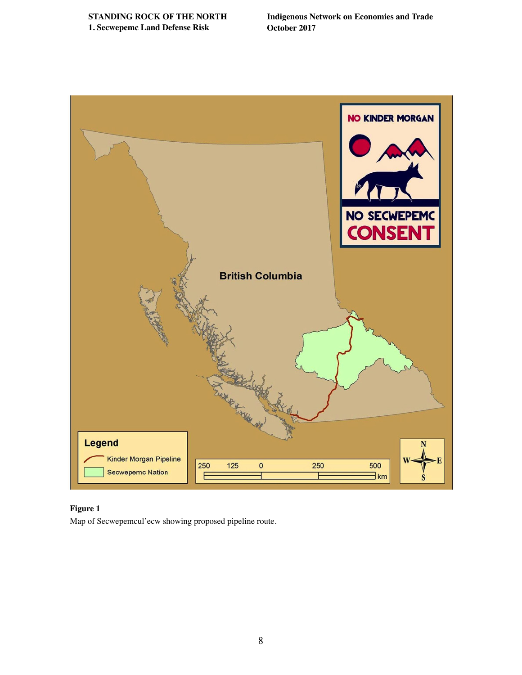**[STANDING ROCK OF THE NORTH](#page-1-0) 1. Secwepemc Land Defense Risk**

**Indigenous Network on Economies and Trade October 2017**



#### **Figure 1**

Map of Secwepemcul'ecw showing proposed pipeline route.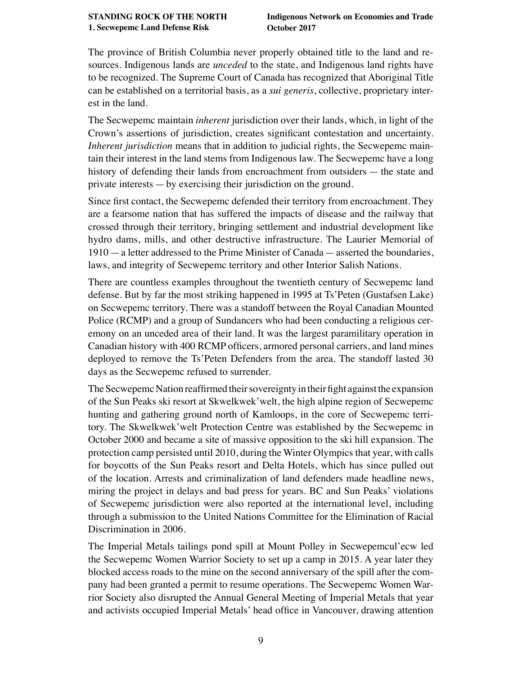The province of British Columbia never properly obtained title to the land and resources. Indigenous lands are *unceded* to the state, and Indigenous land rights have to be recognized. The Supreme Court of Canada has recognized that Aboriginal Title can be established on a territorial basis, as a *sui generis*, collective, proprietary interest in the land.

The Secwepemc maintain *inherent* jurisdiction over their lands, which, in light of the Crown's assertions of jurisdiction, creates signifcant contestation and uncertainty. *Inherent jurisdiction* means that in addition to judicial rights, the Secwepemc maintain their interest in the land stems from Indigenous law. The Secwepemc have a long history of defending their lands from encroachment from outsiders — the state and private interests — by exercising their jurisdiction on the ground.

Since frst contact, the Secwepemc defended their territory from encroachment. They are a fearsome nation that has suffered the impacts of disease and the railway that crossed through their territory, bringing settlement and industrial development like hydro dams, mills, and other destructive infrastructure. The Laurier Memorial of 1910 — a letter addressed to the Prime Minister of Canada — asserted the boundaries, laws, and integrity of Secwepemc territory and other Interior Salish Nations.

There are countless examples throughout the twentieth century of Secwepemc land defense. But by far the most striking happened in 1995 at Ts'Peten (Gustafsen Lake) on Secwepemc territory. There was a standoff between the Royal Canadian Mounted Police (RCMP) and a group of Sundancers who had been conducting a religious ceremony on an unceded area of their land. It was the largest paramilitary operation in Canadian history with 400 RCMP offcers, armored personal carriers, and land mines deployed to remove the Ts'Peten Defenders from the area. The standoff lasted 30 days as the Secwepemc refused to surrender.

The Secwepemc Nation reaffrmed their sovereignty in their fght against the expansion of the Sun Peaks ski resort at Skwelkwek'welt, the high alpine region of Secwepemc hunting and gathering ground north of Kamloops, in the core of Secwepemc territory. The Skwelkwek'welt Protection Centre was established by the Secwepemc in October 2000 and became a site of massive opposition to the ski hill expansion. The protection camp persisted until 2010, during the Winter Olympics that year, with calls for boycotts of the Sun Peaks resort and Delta Hotels, which has since pulled out of the location. Arrests and criminalization of land defenders made headline news, miring the project in delays and bad press for years. BC and Sun Peaks' violations of Secwepemc jurisdiction were also reported at the international level, including through a submission to the United Nations Committee for the Elimination of Racial Discrimination in 2006.

The Imperial Metals tailings pond spill at Mount Polley in Secwepemcul'ecw led the Secwepemc Women Warrior Society to set up a camp in 2015. A year later they blocked access roads to the mine on the second anniversary of the spill after the company had been granted a permit to resume operations. The Secwepemc Women Warrior Society also disrupted the Annual General Meeting of Imperial Metals that year and activists occupied Imperial Metals' head offce in Vancouver, drawing attention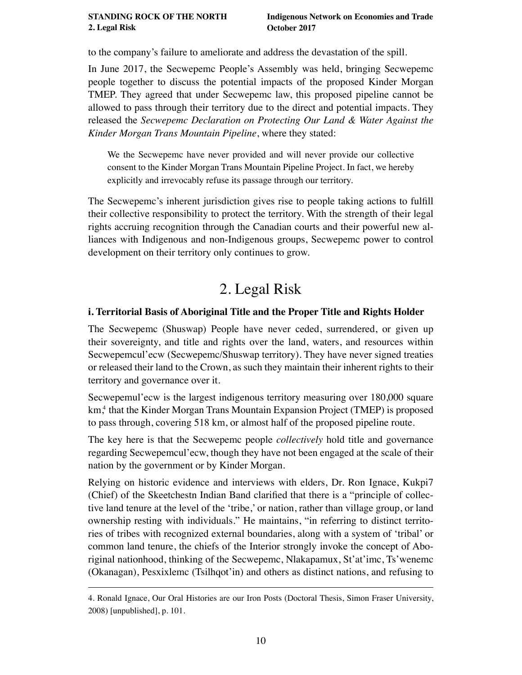#### <span id="page-9-0"></span>**[STANDING ROCK OF THE NORTH](#page-1-0) 2. Legal Risk**

to the company's failure to ameliorate and address the devastation of the spill.

In June 2017, the Secwepemc People's Assembly was held, bringing Secwepemc people together to discuss the potential impacts of the proposed Kinder Morgan TMEP. They agreed that under Secwepemc law, this proposed pipeline cannot be allowed to pass through their territory due to the direct and potential impacts. They released the *Secwepemc Declaration on Protecting Our Land & Water Against the Kinder Morgan Trans Mountain Pipeline*, where they stated:

We the Secwepemc have never provided and will never provide our collective consent to the Kinder Morgan Trans Mountain Pipeline Project. In fact, we hereby explicitly and irrevocably refuse its passage through our territory.

The Secwepemc's inherent jurisdiction gives rise to people taking actions to fulfll their collective responsibility to protect the territory. With the strength of their legal rights accruing recognition through the Canadian courts and their powerful new alliances with Indigenous and non-Indigenous groups, Secwepemc power to control development on their territory only continues to grow.

# 2. Legal Risk

### **i. Territorial Basis of Aboriginal Title and the Proper Title and Rights Holder**

The Secwepemc (Shuswap) People have never ceded, surrendered, or given up their sovereignty, and title and rights over the land, waters, and resources within Secwepemcul'ecw (Secwepemc/Shuswap territory). They have never signed treaties or released their land to the Crown, as such they maintain their inherent rights to their territory and governance over it.

Secwepemul'ecw is the largest indigenous territory measuring over 180,000 square km,<sup>4</sup> that the Kinder Morgan Trans Mountain Expansion Project (TMEP) is proposed to pass through, covering 518 km, or almost half of the proposed pipeline route.

The key here is that the Secwepemc people *collectively* hold title and governance regarding Secwepemcul'ecw, though they have not been engaged at the scale of their nation by the government or by Kinder Morgan.

Relying on historic evidence and interviews with elders, Dr. Ron Ignace, Kukpi7 (Chief) of the Skeetchestn Indian Band clarifed that there is a "principle of collective land tenure at the level of the 'tribe,' or nation, rather than village group, or land ownership resting with individuals." He maintains, "in referring to distinct territories of tribes with recognized external boundaries, along with a system of 'tribal' or common land tenure, the chiefs of the Interior strongly invoke the concept of Aboriginal nationhood, thinking of the Secwepemc, Nlakapamux, St'at'imc, Ts'wenemc (Okanagan), Pesxixlemc (Tsilhqot'in) and others as distinct nations, and refusing to

<sup>4.</sup> Ronald Ignace, Our Oral Histories are our Iron Posts (Doctoral Thesis, Simon Fraser University, 2008) [unpublished], p. 101.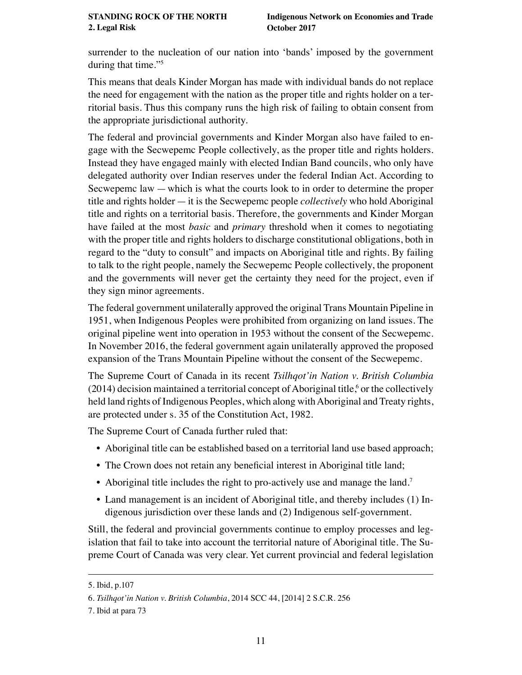surrender to the nucleation of our nation into 'bands' imposed by the government during that time."5

This means that deals Kinder Morgan has made with individual bands do not replace the need for engagement with the nation as the proper title and rights holder on a territorial basis. Thus this company runs the high risk of failing to obtain consent from the appropriate jurisdictional authority.

The federal and provincial governments and Kinder Morgan also have failed to engage with the Secwepemc People collectively, as the proper title and rights holders. Instead they have engaged mainly with elected Indian Band councils, who only have delegated authority over Indian reserves under the federal Indian Act. According to Secwepemc law —which is what the courts look to in order to determine the proper title and rights holder — it is the Secwepemc people *collectively* who hold Aboriginal title and rights on a territorial basis. Therefore, the governments and Kinder Morgan have failed at the most *basic* and *primary* threshold when it comes to negotiating with the proper title and rights holders to discharge constitutional obligations, both in regard to the "duty to consult" and impacts on Aboriginal title and rights. By failing to talk to the right people, namely the Secwepemc People collectively, the proponent and the governments will never get the certainty they need for the project, even if they sign minor agreements.

The federal government unilaterally approved the original Trans Mountain Pipeline in 1951, when Indigenous Peoples were prohibited from organizing on land issues. The original pipeline went into operation in 1953 without the consent of the Secwepemc. In November 2016, the federal government again unilaterally approved the proposed expansion of the Trans Mountain Pipeline without the consent of the Secwepemc.

The Supreme Court of Canada in its recent *Tsilhqot'in Nation v. British Columbia*  $(2014)$  decision maintained a territorial concept of Aboriginal title,<sup>6</sup> or the collectively held land rights of Indigenous Peoples, which along with Aboriginal and Treaty rights, are protected under s. 35 of the Constitution Act, 1982.

The Supreme Court of Canada further ruled that:

- Aboriginal title can be established based on a territorial land use based approach;
- The Crown does not retain any beneficial interest in Aboriginal title land;
- Aboriginal title includes the right to pro-actively use and manage the land.<sup>7</sup>
- Land management is an incident of Aboriginal title, and thereby includes (1) Indigenous jurisdiction over these lands and (2) Indigenous self-government.

Still, the federal and provincial governments continue to employ processes and legislation that fail to take into account the territorial nature of Aboriginal title. The Supreme Court of Canada was very clear. Yet current provincial and federal legislation

<sup>5.</sup> Ibid, p.107

<sup>6.</sup> *Tsilhqot'in Nation v. British Columbia*, 2014 SCC 44, [2014] 2 S.C.R. 256

<sup>7.</sup> Ibid at para 73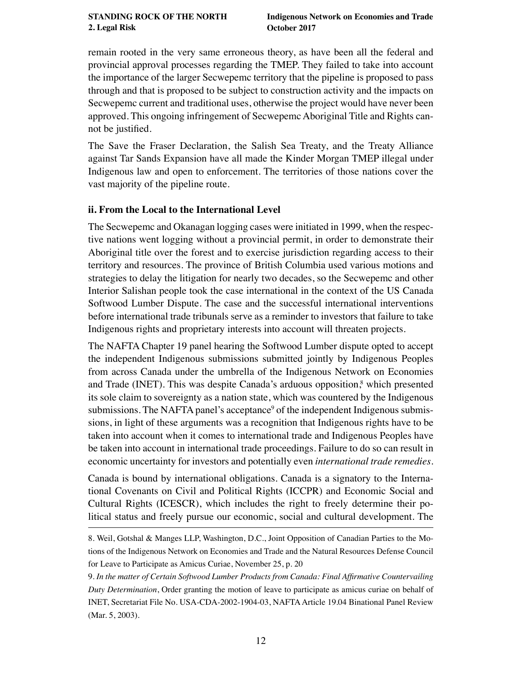<span id="page-11-0"></span>remain rooted in the very same erroneous theory, as have been all the federal and provincial approval processes regarding the TMEP. They failed to take into account the importance of the larger Secwepemc territory that the pipeline is proposed to pass through and that is proposed to be subject to construction activity and the impacts on Secwepemc current and traditional uses, otherwise the project would have never been approved. This ongoing infringement of Secwepemc Aboriginal Title and Rights cannot be justifed.

The Save the Fraser Declaration, the Salish Sea Treaty, and the Treaty Alliance against Tar Sands Expansion have all made the Kinder Morgan TMEP illegal under Indigenous law and open to enforcement. The territories of those nations cover the vast majority of the pipeline route.

#### **ii. From the Local to the International Level**

The Secwepemc and Okanagan logging cases were initiated in 1999, when the respective nations went logging without a provincial permit, in order to demonstrate their Aboriginal title over the forest and to exercise jurisdiction regarding access to their territory and resources. The province of British Columbia used various motions and strategies to delay the litigation for nearly two decades, so the Secwepemc and other Interior Salishan people took the case international in the context of the US Canada Softwood Lumber Dispute. The case and the successful international interventions before international trade tribunals serve as a reminder to investors that failure to take Indigenous rights and proprietary interests into account will threaten projects.

The NAFTA Chapter 19 panel hearing the Softwood Lumber dispute opted to accept the independent Indigenous submissions submitted jointly by Indigenous Peoples from across Canada under the umbrella of the Indigenous Network on Economies and Trade (INET). This was despite Canada's arduous opposition,<sup>8</sup> which presented its sole claim to sovereignty as a nation state, which was countered by the Indigenous submissions. The NAFTA panel's acceptance<sup>9</sup> of the independent Indigenous submissions, in light of these arguments was a recognition that Indigenous rights have to be taken into account when it comes to international trade and Indigenous Peoples have be taken into account in international trade proceedings. Failure to do so can result in economic uncertainty for investors and potentially even *international trade remedies*.

Canada is bound by international obligations. Canada is a signatory to the International Covenants on Civil and Political Rights (ICCPR) and Economic Social and Cultural Rights (ICESCR), which includes the right to freely determine their political status and freely pursue our economic, social and cultural development. The

<sup>8.</sup> Weil, Gotshal & Manges LLP, Washington, D.C., Joint Opposition of Canadian Parties to the Motions of the Indigenous Network on Economies and Trade and the Natural Resources Defense Council for Leave to Participate as Amicus Curiae, November 25, p. 20

<sup>9.</sup> *In the matter of Certain Softwood Lumber Products from Canada: Final Affrmative Countervailing Duty Determination*, Order granting the motion of leave to participate as amicus curiae on behalf of INET, Secretariat File No. USA-CDA-2002-1904-03, NAFTA Article 19.04 Binational Panel Review (Mar. 5, 2003).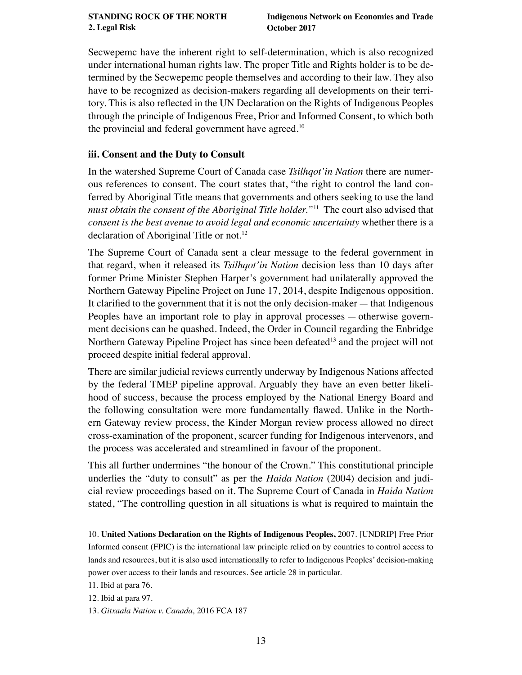<span id="page-12-0"></span>Secwepemc have the inherent right to self-determination, which is also recognized under international human rights law. The proper Title and Rights holder is to be determined by the Secwepemc people themselves and according to their law. They also have to be recognized as decision-makers regarding all developments on their territory. This is also refected in the UN Declaration on the Rights of Indigenous Peoples through the principle of Indigenous Free, Prior and Informed Consent, to which both the provincial and federal government have agreed.10

### **iii. Consent and the Duty to Consult**

In the watershed Supreme Court of Canada case *Tsilhqot'in Nation* there are numerous references to consent. The court states that, "the right to control the land conferred by Aboriginal Title means that governments and others seeking to use the land *must obtain the consent of the Aboriginal Title holder."*11 The court also advised that *consent is the best avenue to avoid legal and economic uncertainty* whether there is a declaration of Aboriginal Title or not.<sup>12</sup>

The Supreme Court of Canada sent a clear message to the federal government in that regard, when it released its *Tsilhqot'in Nation* decision less than 10 days after former Prime Minister Stephen Harper's government had unilaterally approved the Northern Gateway Pipeline Project on June 17, 2014, despite Indigenous opposition. It clarifed to the government that it is not the only decision-maker — that Indigenous Peoples have an important role to play in approval processes — otherwise government decisions can be quashed. Indeed, the Order in Council regarding the Enbridge Northern Gateway Pipeline Project has since been defeated<sup>13</sup> and the project will not proceed despite initial federal approval.

There are similar judicial reviews currently underway by Indigenous Nations affected by the federal TMEP pipeline approval. Arguably they have an even better likelihood of success, because the process employed by the National Energy Board and the following consultation were more fundamentally fawed. Unlike in the Northern Gateway review process, the Kinder Morgan review process allowed no direct cross-examination of the proponent, scarcer funding for Indigenous intervenors, and the process was accelerated and streamlined in favour of the proponent.

This all further undermines "the honour of the Crown." This constitutional principle underlies the "duty to consult" as per the *Haida Nation* (2004) decision and judicial review proceedings based on it. The Supreme Court of Canada in *Haida Nation* stated, "The controlling question in all situations is what is required to maintain the

11. Ibid at para 76.

12. Ibid at para 97.

<sup>10.</sup> **[United Nations Declaration on the Rights of Indigenous Peoples,](https://www.un.org/development/desa/indigenouspeoples/declaration-on-the-rights-of-indigenous-peoples.html)** 2007. [UNDRIP] Free Prior Informed consent (FPIC) is the international law principle relied on by countries to control access to lands and resources, but it is also used internationally to refer to Indigenous Peoples' decision-making power over access to their lands and resources. See article 28 in particular.

<sup>13.</sup> *Gitxaala Nation v. Canada,* 2016 FCA 187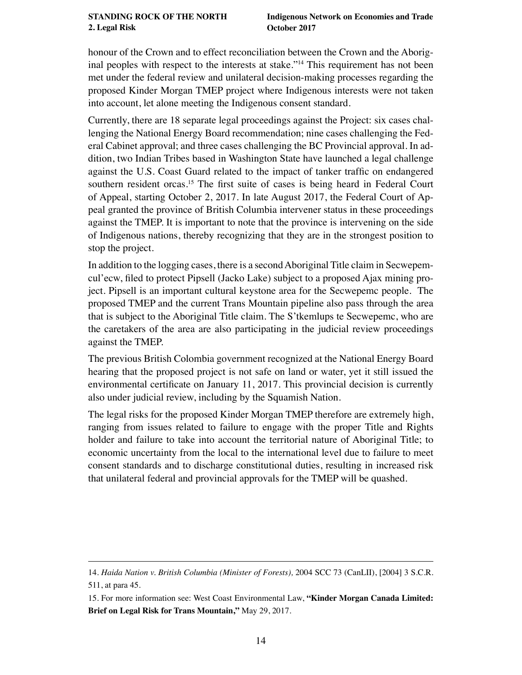#### **[STANDING ROCK OF THE NORTH](#page-1-0) 2. Legal Risk**

honour of the Crown and to effect reconciliation between the Crown and the Aboriginal peoples with respect to the interests at stake."14 This requirement has not been met under the federal review and unilateral decision-making processes regarding the proposed Kinder Morgan TMEP project where Indigenous interests were not taken into account, let alone meeting the Indigenous consent standard.

Currently, there are 18 separate legal proceedings against the Project: six cases challenging the National Energy Board recommendation; nine cases challenging the Federal Cabinet approval; and three cases challenging the BC Provincial approval. In addition, two Indian Tribes based in Washington State have launched a legal challenge against the U.S. Coast Guard related to the impact of tanker traffc on endangered southern resident orcas.<sup>15</sup> The first suite of cases is being heard in Federal Court of Appeal, starting October 2, 2017. In late August 2017, the Federal Court of Appeal granted the province of British Columbia intervener status in these proceedings against the TMEP. It is important to note that the province is intervening on the side of Indigenous nations, thereby recognizing that they are in the strongest position to stop the project.

In addition to the logging cases, there is a second Aboriginal Title claim in Secwepemcul'ecw, fled to protect Pipsell (Jacko Lake) subject to a proposed Ajax mining project. Pipsell is an important cultural keystone area for the Secwepemc people. The proposed TMEP and the current Trans Mountain pipeline also pass through the area that is subject to the Aboriginal Title claim. The S'tkemlups te Secwepemc, who are the caretakers of the area are also participating in the judicial review proceedings against the TMEP.

The previous British Colombia government recognized at the National Energy Board hearing that the proposed project is not safe on land or water, yet it still issued the environmental certifcate on January 11, 2017. This provincial decision is currently also under judicial review, including by the Squamish Nation.

The legal risks for the proposed Kinder Morgan TMEP therefore are extremely high, ranging from issues related to failure to engage with the proper Title and Rights holder and failure to take into account the territorial nature of Aboriginal Title; to economic uncertainty from the local to the international level due to failure to meet consent standards and to discharge constitutional duties, resulting in increased risk that unilateral federal and provincial approvals for the TMEP will be quashed.

<sup>14.</sup> *Haida Nation v. British Columbia (Minister of Forests),* 2004 SCC 73 (CanLII), [2004] 3 S.C.R. 511, at para 45.

<sup>15.</sup> For more information see: West Coast Environmental Law, **["Kinder Morgan Canada Limited:](https://www.wcel.org/publication/kinder-morgan-canada-limited-brief-legal-risks-trans-mountain)  [Brief on Legal Risk for Trans Mountain,"](https://www.wcel.org/publication/kinder-morgan-canada-limited-brief-legal-risks-trans-mountain)** May 29, 2017.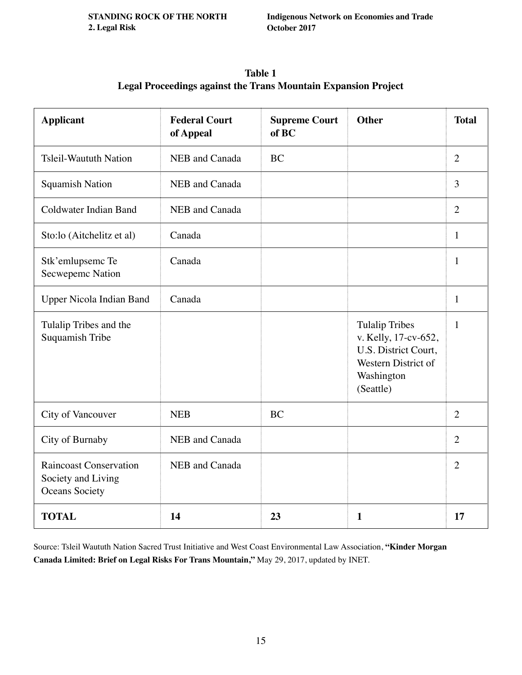| <b>Table 1</b>                                                        |
|-----------------------------------------------------------------------|
| <b>Legal Proceedings against the Trans Mountain Expansion Project</b> |

| <b>Applicant</b>                                                      | <b>Federal Court</b><br>of Appeal | <b>Supreme Court</b><br>of BC | <b>Other</b>                                                                                                            | <b>Total</b>   |
|-----------------------------------------------------------------------|-----------------------------------|-------------------------------|-------------------------------------------------------------------------------------------------------------------------|----------------|
| <b>Tsleil-Waututh Nation</b>                                          | NEB and Canada                    | <b>BC</b>                     |                                                                                                                         | 2              |
| <b>Squamish Nation</b>                                                | NEB and Canada                    |                               |                                                                                                                         | 3              |
| Coldwater Indian Band                                                 | NEB and Canada                    |                               |                                                                                                                         | $\overline{2}$ |
| Sto:lo (Aitchelitz et al)                                             | Canada                            |                               |                                                                                                                         | $\mathbf{1}$   |
| Stk'emlupsemc Te<br>Secwepemc Nation                                  | Canada                            |                               |                                                                                                                         | $\mathbf{1}$   |
| Upper Nicola Indian Band                                              | Canada                            |                               |                                                                                                                         | $\mathbf{1}$   |
| Tulalip Tribes and the<br>Suquamish Tribe                             |                                   |                               | <b>Tulalip Tribes</b><br>v. Kelly, 17-cv-652,<br>U.S. District Court,<br>Western District of<br>Washington<br>(Seattle) | 1              |
| City of Vancouver                                                     | <b>NEB</b>                        | <b>BC</b>                     |                                                                                                                         | $\overline{2}$ |
| City of Burnaby                                                       | NEB and Canada                    |                               |                                                                                                                         | $\overline{2}$ |
| <b>Raincoast Conservation</b><br>Society and Living<br>Oceans Society | NEB and Canada                    |                               |                                                                                                                         | $\overline{2}$ |
| <b>TOTAL</b>                                                          | 14                                | 23                            | $\mathbf{1}$                                                                                                            | 17             |

Source: Tsleil Waututh Nation Sacred Trust Initiative and West Coast Environmental Law Association, **["Kinder Morgan](https://www.wcel.org/publication/kinder-morgan-canada-limited-brief-legal-risks-trans-mountain)  [Canada Limited: Brief on Legal Risks For Trans Mountain,"](https://www.wcel.org/publication/kinder-morgan-canada-limited-brief-legal-risks-trans-mountain)** May 29, 2017, updated by INET.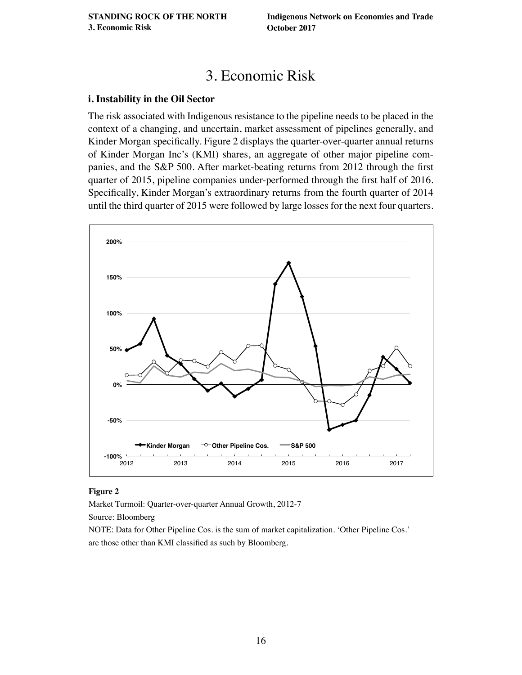# 3. Economic Risk

#### <span id="page-15-0"></span>**i. Instability in the Oil Sector**

The risk associated with Indigenous resistance to the pipeline needs to be placed in the context of a changing, and uncertain, market assessment of pipelines generally, and Kinder Morgan specifcally. Figure 2 displays the quarter-over-quarter annual returns of Kinder Morgan Inc's (KMI) shares, an aggregate of other major pipeline companies, and the S&P 500. After market-beating returns from 2012 through the frst quarter of 2015, pipeline companies under-performed through the frst half of 2016. Specifcally, Kinder Morgan's extraordinary returns from the fourth quarter of 2014 until the third quarter of 2015 were followed by large losses for the next four quarters.



#### **Figure 2**

Market Turmoil: Quarter-over-quarter Annual Growth, 2012-7

Source: Bloomberg

NOTE: Data for Other Pipeline Cos. is the sum of market capitalization. 'Other Pipeline Cos.' are those other than KMI classifed as such by Bloomberg.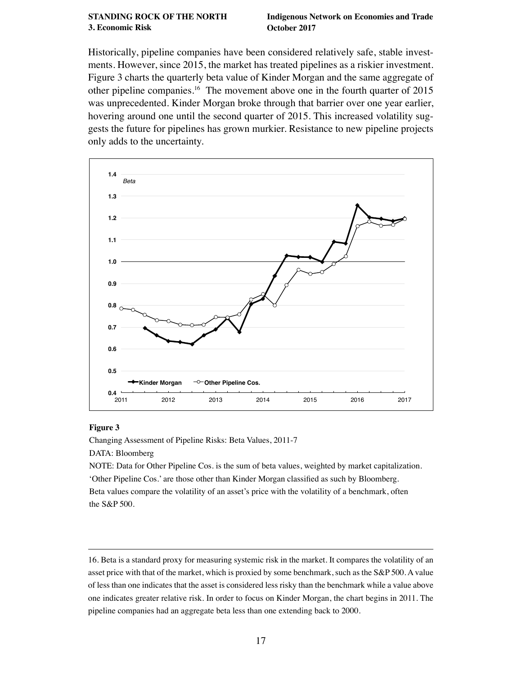#### **[STANDING ROCK OF THE NORTH](#page-1-0) 3. Economic Risk**

**Indigenous Network on Economies and Trade October 2017**

Historically, pipeline companies have been considered relatively safe, stable investments. However, since 2015, the market has treated pipelines as a riskier investment. Figure 3 charts the quarterly beta value of Kinder Morgan and the same aggregate of other pipeline companies.16 The movement above one in the fourth quarter of 2015 was unprecedented. Kinder Morgan broke through that barrier over one year earlier, hovering around one until the second quarter of 2015. This increased volatility suggests the future for pipelines has grown murkier. Resistance to new pipeline projects only adds to the uncertainty.



#### **Figure 3**

Changing Assessment of Pipeline Risks: Beta Values, 2011-7 DATA: Bloomberg NOTE: Data for Other Pipeline Cos. is the sum of beta values, weighted by market capitalization. 'Other Pipeline Cos.' are those other than Kinder Morgan classifed as such by Bloomberg.

Beta values compare the volatility of an asset's price with the volatility of a benchmark, often the S&P 500.

<sup>16.</sup> Beta is a standard proxy for measuring systemic risk in the market. It compares the volatility of an asset price with that of the market, which is proxied by some benchmark, such as the S&P 500. A value of less than one indicates that the asset is considered less risky than the benchmark while a value above one indicates greater relative risk. In order to focus on Kinder Morgan, the chart begins in 2011. The pipeline companies had an aggregate beta less than one extending back to 2000.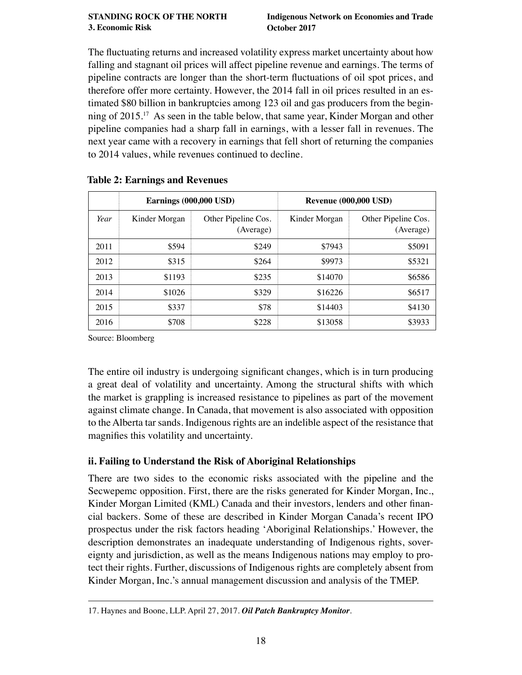#### <span id="page-17-0"></span>**[STANDING ROCK OF THE NORTH](#page-1-0) 3. Economic Risk October 2017**

The fuctuating returns and increased volatility express market uncertainty about how falling and stagnant oil prices will affect pipeline revenue and earnings. The terms of pipeline contracts are longer than the short-term fuctuations of oil spot prices, and therefore offer more certainty. However, the 2014 fall in oil prices resulted in an estimated \$80 billion in bankruptcies among 123 oil and gas producers from the beginning of 2015.17 As seen in the table below, that same year, Kinder Morgan and other pipeline companies had a sharp fall in earnings, with a lesser fall in revenues. The next year came with a recovery in earnings that fell short of returning the companies to 2014 values, while revenues continued to decline.

|      | <b>Earnings (000,000 USD)</b> |                                  | <b>Revenue (000,000 USD)</b> |                                  |  |
|------|-------------------------------|----------------------------------|------------------------------|----------------------------------|--|
| Year | Kinder Morgan                 | Other Pipeline Cos.<br>(Average) | Kinder Morgan                | Other Pipeline Cos.<br>(Average) |  |
| 2011 | \$594                         | \$249                            | \$7943                       | \$5091                           |  |
| 2012 | \$315                         | \$264                            | \$9973                       | \$5321                           |  |
| 2013 | \$1193                        | \$235                            | \$14070                      | \$6586                           |  |
| 2014 | \$1026                        | \$329                            | \$16226                      | \$6517                           |  |
| 2015 | \$337                         | \$78                             | \$14403                      | \$4130                           |  |
| 2016 | \$708                         | \$228                            | \$13058                      | \$3933                           |  |

## **Table 2: Earnings and Revenues**

Source: Bloomberg

The entire oil industry is undergoing signifcant changes, which is in turn producing a great deal of volatility and uncertainty. Among the structural shifts with which the market is grappling is increased resistance to pipelines as part of the movement against climate change. In Canada, that movement is also associated with opposition to the Alberta tar sands. Indigenous rights are an indelible aspect of the resistance that magnifes this volatility and uncertainty.

## **ii. Failing to Understand the Risk of Aboriginal Relationships**

There are two sides to the economic risks associated with the pipeline and the Secwepemc opposition. First, there are the risks generated for Kinder Morgan, Inc., Kinder Morgan Limited (KML) Canada and their investors, lenders and other financial backers. Some of these are described in Kinder Morgan Canada's recent IPO prospectus under the risk factors heading 'Aboriginal Relationships.' However, the description demonstrates an inadequate understanding of Indigenous rights, sovereignty and jurisdiction, as well as the means Indigenous nations may employ to protect their rights. Further, discussions of Indigenous rights are completely absent from Kinder Morgan, Inc.'s annual management discussion and analysis of the TMEP.

<sup>17.</sup> Haynes and Boone, LLP. April 27, 2017. *[Oil Patch Bankruptcy Monitor](http://www.haynesboone.com/publications/energy-bankruptcy-monitors-and-surveys)*.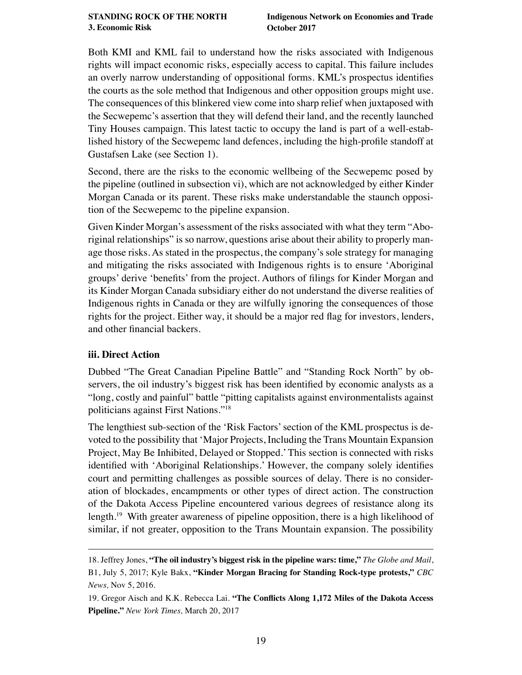<span id="page-18-0"></span>Both KMI and KML fail to understand how the risks associated with Indigenous rights will impact economic risks, especially access to capital. This failure includes an overly narrow understanding of oppositional forms. KML's prospectus identifes the courts as the sole method that Indigenous and other opposition groups might use. The consequences of this blinkered view come into sharp relief when juxtaposed with the Secwepemc's assertion that they will defend their land, and the recently launched Tiny Houses campaign. This latest tactic to occupy the land is part of a well-established history of the Secwepemc land defences, including the high-profle standoff at Gustafsen Lake (see Section 1).

Second, there are the risks to the economic wellbeing of the Secwepemc posed by the pipeline (outlined in subsection vi), which are not acknowledged by either Kinder Morgan Canada or its parent. These risks make understandable the staunch opposition of the Secwepemc to the pipeline expansion.

Given Kinder Morgan's assessment of the risks associated with what they term "Aboriginal relationships" is so narrow, questions arise about their ability to properly manage those risks. As stated in the prospectus, the company's sole strategy for managing and mitigating the risks associated with Indigenous rights is to ensure 'Aboriginal groups' derive 'benefts' from the project. Authors of flings for Kinder Morgan and its Kinder Morgan Canada subsidiary either do not understand the diverse realities of Indigenous rights in Canada or they are wilfully ignoring the consequences of those rights for the project. Either way, it should be a major red fag for investors, lenders, and other fnancial backers.

## **iii. Direct Action**

Dubbed "The Great Canadian Pipeline Battle" and "Standing Rock North" by observers, the oil industry's biggest risk has been identifed by economic analysts as a "long, costly and painful" battle "pitting capitalists against environmentalists against politicians against First Nations."18

The lengthiest sub-section of the 'Risk Factors' section of the KML prospectus is devoted to the possibility that 'Major Projects, Including the Trans Mountain Expansion Project, May Be Inhibited, Delayed or Stopped.' This section is connected with risks identifed with 'Aboriginal Relationships.' However, the company solely identifes court and permitting challenges as possible sources of delay. There is no consideration of blockades, encampments or other types of direct action. The construction of the Dakota Access Pipeline encountered various degrees of resistance along its length.19 With greater awareness of pipeline opposition, there is a high likelihood of similar, if not greater, opposition to the Trans Mountain expansion. The possibility

<sup>18.</sup> Jeffrey Jones, **["The oil industry's biggest risk in the pipeline wars: time,"](http://www.globeinvestor.com/servlet/ArticleNews/story/GAM/20170705/RBRIJONESCOLUMN)** *The Globe and Mail*,

B1, July 5, 2017; Kyle Bakx, **["Kinder Morgan Bracing for Standing Rock-type protests,"](http://www.cbc.ca/news/business/tmx-kindermorgan-bc-oilpatch-pipeline-standing-rock-1.3836489)** *CBC News,* Nov 5, 2016.

<sup>19.</sup> Gregor Aisch and K.K. Rebecca Lai. **["The Conficts Along 1,172 Miles of the Dakota Access](https://www.nytimes.com/interactive/2016/11/23/us/dakota-access-pipeline-protest-map.html)  [Pipeline."](https://www.nytimes.com/interactive/2016/11/23/us/dakota-access-pipeline-protest-map.html)** *New York Times,* March 20, 2017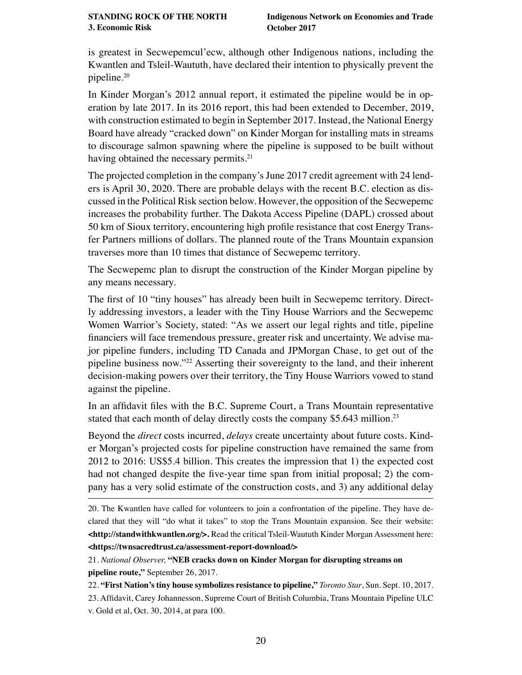is greatest in Secwepemcul'ecw, although other Indigenous nations, including the Kwantlen and Tsleil-Waututh, have declared their intention to physically prevent the pipeline.20

In Kinder Morgan's 2012 annual report, it estimated the pipeline would be in operation by late 2017. In its 2016 report, this had been extended to December, 2019, with construction estimated to begin in September 2017. Instead, the National Energy Board have already "cracked down" on Kinder Morgan for installing mats in streams to discourage salmon spawning where the pipeline is supposed to be built without having obtained the necessary permits.<sup>21</sup>

The projected completion in the company's June 2017 credit agreement with 24 lenders is April 30, 2020. There are probable delays with the recent B.C. election as discussed in the Political Risk section below. However, the opposition of the Secwepemc increases the probability further. The Dakota Access Pipeline (DAPL) crossed about 50 km of Sioux territory, encountering high profle resistance that cost Energy Transfer Partners millions of dollars. The planned route of the Trans Mountain expansion traverses more than 10 times that distance of Secwepemc territory.

The Secwepemc plan to disrupt the construction of the Kinder Morgan pipeline by any means necessary.

The frst of 10 "tiny houses" has already been built in Secwepemc territory. Directly addressing investors, a leader with the Tiny House Warriors and the Secwepemc Women Warrior's Society, stated: "As we assert our legal rights and title, pipeline fnanciers will face tremendous pressure, greater risk and uncertainty. We advise major pipeline funders, including TD Canada and JPMorgan Chase, to get out of the pipeline business now."22 Asserting their sovereignty to the land, and their inherent decision-making powers over their territory, the Tiny House Warriors vowed to stand against the pipeline.

In an affdavit fles with the B.C. Supreme Court, a Trans Mountain representative stated that each month of delay directly costs the company \$5.643 million.<sup>23</sup>

Beyond the *direct* costs incurred, *delays* create uncertainty about future costs. Kinder Morgan's projected costs for pipeline construction have remained the same from 2012 to 2016: US\$5.4 billion. This creates the impression that 1) the expected cost had not changed despite the fve-year time span from initial proposal; 2) the company has a very solid estimate of the construction costs, and 3) any additional delay

21. *National Observer,* **["NEB cracks down on Kinder Morgan for disrupting streams on](https://www.nationalobserver.com/2017/09/26/news/neb-cracks-down-kinder-morgan-disrupting-streams-pipeline-route)  [pipeline route,"](https://www.nationalobserver.com/2017/09/26/news/neb-cracks-down-kinder-morgan-disrupting-streams-pipeline-route)** September 26, 2017.

22. **["First Nation's tiny house symbolizes resistance to pipeline,"](https://www.thestar.com/opinion/commentary/2017/09/10/first-nations-tiny-house-symbolizes-resistance-to-pipeline.html)** *Toronto Star*, Sun. Sept. 10, 2017. 23. Affdavit, Carey Johannesson, Supreme Court of British Columbia, Trans Mountain Pipeline ULC v. Gold et al, Oct. 30, 2014, at para 100.

<sup>20.</sup> The Kwantlen have called for volunteers to join a confrontation of the pipeline. They have declared that they will "do what it takes" to stop the Trans Mountain expansion. See their website: **[<http://standwithkwantlen.org/>.](http://standwithkwantlen.org/)** Read the critical Tsleil-Waututh Kinder Morgan Assessment here: **[<https://twnsacredtrust.ca/assessment-report-download/>](https://twnsacredtrust.ca/assessment-report-download/)**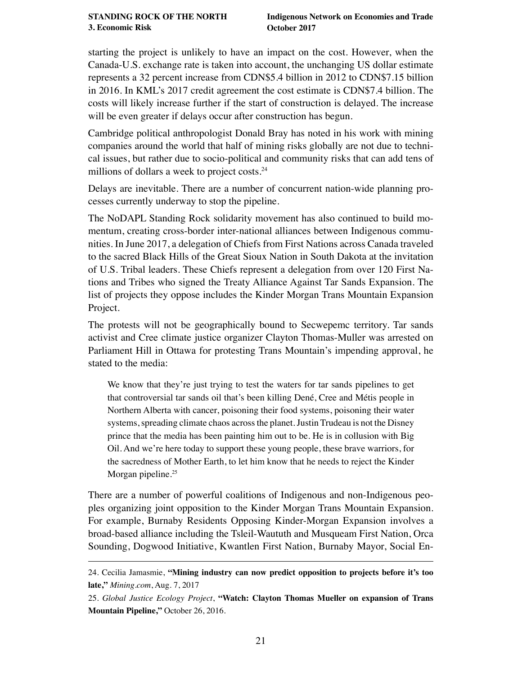starting the project is unlikely to have an impact on the cost. However, when the Canada-U.S. exchange rate is taken into account, the unchanging US dollar estimate represents a 32 percent increase from CDN\$5.4 billion in 2012 to CDN\$7.15 billion in 2016. In KML's 2017 credit agreement the cost estimate is CDN\$7.4 billion. The costs will likely increase further if the start of construction is delayed. The increase will be even greater if delays occur after construction has begun.

Cambridge political anthropologist Donald Bray has noted in his work with mining companies around the world that half of mining risks globally are not due to technical issues, but rather due to socio-political and community risks that can add tens of millions of dollars a week to project costs.<sup>24</sup>

Delays are inevitable. There are a number of concurrent nation-wide planning processes currently underway to stop the pipeline.

The NoDAPL Standing Rock solidarity movement has also continued to build momentum, creating cross-border inter-national alliances between Indigenous communities. In June 2017, a delegation of Chiefs from First Nations across Canada traveled to the sacred Black Hills of the Great Sioux Nation in South Dakota at the invitation of U.S. Tribal leaders. These Chiefs represent a delegation from over 120 First Nations and Tribes who signed the Treaty Alliance Against Tar Sands Expansion. The list of projects they oppose includes the Kinder Morgan Trans Mountain Expansion Project.

The protests will not be geographically bound to Secwepemc territory. Tar sands activist and Cree climate justice organizer Clayton Thomas-Muller was arrested on Parliament Hill in Ottawa for protesting Trans Mountain's impending approval, he stated to the media:

We know that they're just trying to test the waters for tar sands pipelines to get that controversial tar sands oil that's been killing Dené, Cree and Métis people in Northern Alberta with cancer, poisoning their food systems, poisoning their water systems, spreading climate chaos across the planet. Justin Trudeau is not the Disney prince that the media has been painting him out to be. He is in collusion with Big Oil. And we're here today to support these young people, these brave warriors, for the sacredness of Mother Earth, to let him know that he needs to reject the Kinder Morgan pipeline.<sup>25</sup>

There are a number of powerful coalitions of Indigenous and non-Indigenous peoples organizing joint opposition to the Kinder Morgan Trans Mountain Expansion. For example, Burnaby Residents Opposing Kinder-Morgan Expansion involves a broad-based alliance including the Tsleil-Waututh and Musqueam First Nation, Orca Sounding, Dogwood Initiative, Kwantlen First Nation, Burnaby Mayor, Social En-

<sup>24.</sup> Cecilia Jamasmie, **["Mining industry can now predict opposition to projects before it's too](http://www.mining.com/mining-industry-can-now-predict-opposition-projects-spending-single-dime/)  [late,"](http://www.mining.com/mining-industry-can-now-predict-opposition-projects-spending-single-dime/)** *Mining.com*, Aug. 7, 2017

<sup>25.</sup> *Global Justice Ecology Project*, **["Watch: Clayton Thomas Mueller on expansion of Trans](http://globaljusticeecology.org/watch-clayton-thomas-mueller-on-expansion-of-kinder-morgan-trans-mountain-pipeline/)  [Mountain Pipeline,"](http://globaljusticeecology.org/watch-clayton-thomas-mueller-on-expansion-of-kinder-morgan-trans-mountain-pipeline/)** October 26, 2016.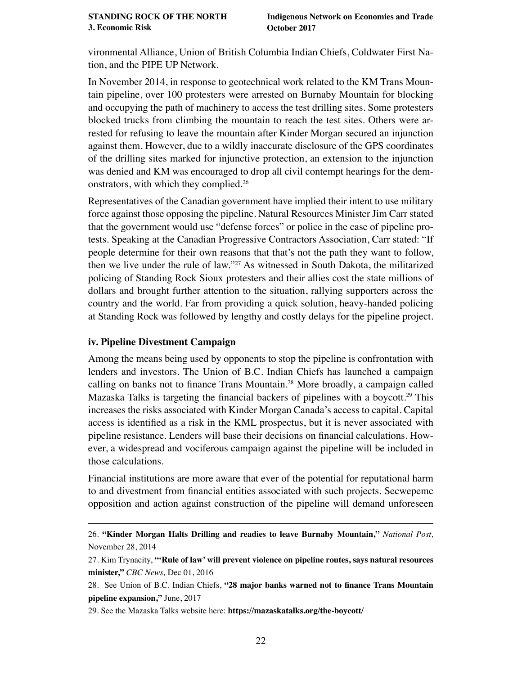<span id="page-21-0"></span>vironmental Alliance, Union of British Columbia Indian Chiefs, Coldwater First Nation, and the PIPE UP Network.

In November 2014, in response to geotechnical work related to the KM Trans Mountain pipeline, over 100 protesters were arrested on Burnaby Mountain for blocking and occupying the path of machinery to access the test drilling sites. Some protesters blocked trucks from climbing the mountain to reach the test sites. Others were arrested for refusing to leave the mountain after Kinder Morgan secured an injunction against them. However, due to a wildly inaccurate disclosure of the GPS coordinates of the drilling sites marked for injunctive protection, an extension to the injunction was denied and KM was encouraged to drop all civil contempt hearings for the demonstrators, with which they complied.26

Representatives of the Canadian government have implied their intent to use military force against those opposing the pipeline. Natural Resources Minister Jim Carr stated that the government would use "defense forces" or police in the case of pipeline protests. Speaking at the Canadian Progressive Contractors Association, Carr stated: "If people determine for their own reasons that that's not the path they want to follow, then we live under the rule of law."27 As witnessed in South Dakota, the militarized policing of Standing Rock Sioux protesters and their allies cost the state millions of dollars and brought further attention to the situation, rallying supporters across the country and the world. Far from providing a quick solution, heavy-handed policing at Standing Rock was followed by lengthy and costly delays for the pipeline project.

#### **iv. Pipeline Divestment Campaign**

Among the means being used by opponents to stop the pipeline is confrontation with lenders and investors. The Union of B.C. Indian Chiefs has launched a campaign calling on banks not to fnance Trans Mountain.28 More broadly, a campaign called Mazaska Talks is targeting the financial backers of pipelines with a boycott.<sup>29</sup> This increases the risks associated with Kinder Morgan Canada's access to capital. Capital access is identifed as a risk in the KML prospectus, but it is never associated with pipeline resistance. Lenders will base their decisions on fnancial calculations. However, a widespread and vociferous campaign against the pipeline will be included in those calculations.

Financial institutions are more aware that ever of the potential for reputational harm to and divestment from fnancial entities associated with such projects. Secwepemc opposition and action against construction of the pipeline will demand unforeseen

<sup>26.</sup> **["Kinder Morgan Halts Drilling and readies to leave Burnaby Mountain,"](http://nationalpost.com/news/canada/kinder-morgan-halts-drilling-and-readies-to-leave-burnaby-mountain)** *National Post,*  November 28, 2014

<sup>27.</sup> Kim Trynacity, **["'Rule of law' will prevent violence on pipeline routes, says natural resources](http://www.cbc.ca/news/canada/edmonton/rule-of-law-will-prevent-violence-on-pipeline-routes-says-natural-resources-minister-1.3876611)  [minister,"](http://www.cbc.ca/news/canada/edmonton/rule-of-law-will-prevent-violence-on-pipeline-routes-says-natural-resources-minister-1.3876611)** *CBC News,* Dec 01, 2016

<sup>28.</sup> See Union of B.C. Indian Chiefs, **["28 major banks warned not to fnance Trans Mountain](http://www.ubcic.bc.ca/bankswarnedtransmountain)  [pipeline expansion,"](http://www.ubcic.bc.ca/bankswarnedtransmountain)** June, 2017

<sup>29.</sup> See the Mazaska Talks website here: **<https://mazaskatalks.org/the-boycott/>**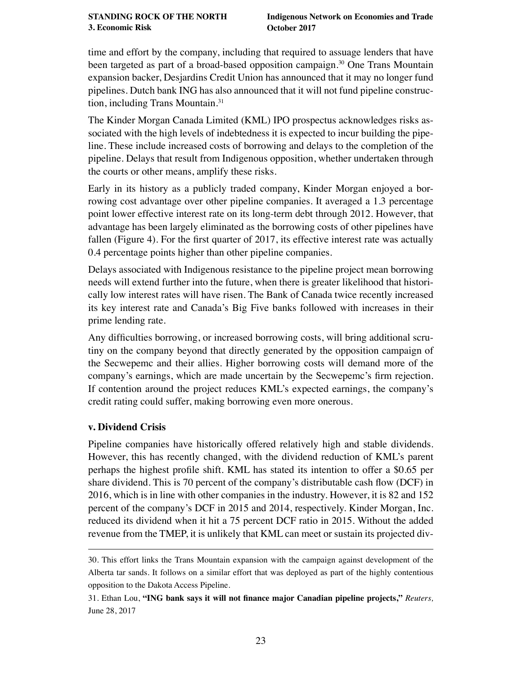<span id="page-22-0"></span>time and effort by the company, including that required to assuage lenders that have been targeted as part of a broad-based opposition campaign.<sup>30</sup> One Trans Mountain expansion backer, Desjardins Credit Union has announced that it may no longer fund pipelines. Dutch bank ING has also announced that it will not fund pipeline construction, including Trans Mountain.31

The Kinder Morgan Canada Limited (KML) IPO prospectus acknowledges risks associated with the high levels of indebtedness it is expected to incur building the pipeline. These include increased costs of borrowing and delays to the completion of the pipeline. Delays that result from Indigenous opposition, whether undertaken through the courts or other means, amplify these risks.

Early in its history as a publicly traded company, Kinder Morgan enjoyed a borrowing cost advantage over other pipeline companies. It averaged a 1.3 percentage point lower effective interest rate on its long-term debt through 2012. However, that advantage has been largely eliminated as the borrowing costs of other pipelines have fallen (Figure 4). For the first quarter of 2017, its effective interest rate was actually 0.4 percentage points higher than other pipeline companies.

Delays associated with Indigenous resistance to the pipeline project mean borrowing needs will extend further into the future, when there is greater likelihood that historically low interest rates will have risen. The Bank of Canada twice recently increased its key interest rate and Canada's Big Five banks followed with increases in their prime lending rate.

Any diffculties borrowing, or increased borrowing costs, will bring additional scrutiny on the company beyond that directly generated by the opposition campaign of the Secwepemc and their allies. Higher borrowing costs will demand more of the company's earnings, which are made uncertain by the Secwepemc's frm rejection. If contention around the project reduces KML's expected earnings, the company's credit rating could suffer, making borrowing even more onerous.

## **v. Dividend Crisis**

Pipeline companies have historically offered relatively high and stable dividends. However, this has recently changed, with the dividend reduction of KML's parent perhaps the highest profle shift. KML has stated its intention to offer a \$0.65 per share dividend. This is 70 percent of the company's distributable cash fow (DCF) in 2016, which is in line with other companies in the industry. However, it is 82 and 152 percent of the company's DCF in 2015 and 2014, respectively. Kinder Morgan, Inc. reduced its dividend when it hit a 75 percent DCF ratio in 2015. Without the added revenue from the TMEP, it is unlikely that KML can meet or sustain its projected div-

<sup>30.</sup> This effort links the Trans Mountain expansion with the campaign against development of the Alberta tar sands. It follows on a similar effort that was deployed as part of the highly contentious opposition to the Dakota Access Pipeline.

<sup>31.</sup> Ethan Lou, **["ING bank says it will not fnance major Canadian pipeline projects,"](https://ca.reuters.com/article/businessNews/idCAKBN19J2S6-OCABS)** *Reuters,* June 28, 2017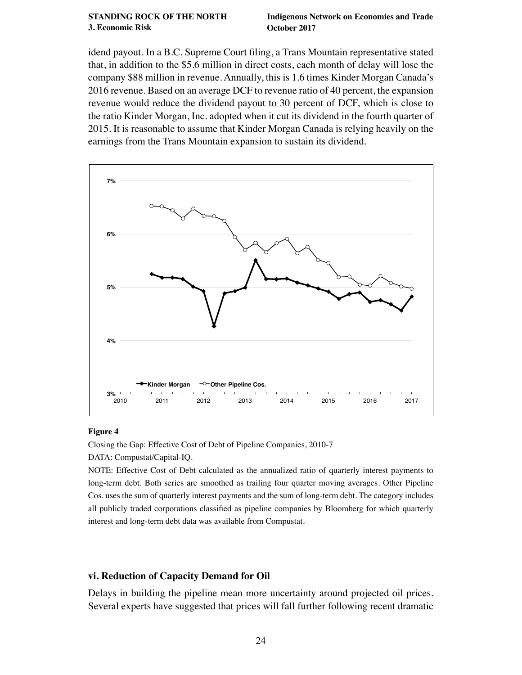#### <span id="page-23-0"></span>**[STANDING ROCK OF THE NORTH](#page-1-0) 3. Economic Risk**

idend payout. In a B.C. Supreme Court fling, a Trans Mountain representative stated that, in addition to the \$5.6 million in direct costs, each month of delay will lose the company \$88 million in revenue. Annually, this is 1.6 times Kinder Morgan Canada's 2016 revenue. Based on an average DCF to revenue ratio of 40 percent, the expansion revenue would reduce the dividend payout to 30 percent of DCF, which is close to the ratio Kinder Morgan, Inc. adopted when it cut its dividend in the fourth quarter of 2015. It is reasonable to assume that Kinder Morgan Canada is relying heavily on the earnings from the Trans Mountain expansion to sustain its dividend.



#### **Figure 4**

Closing the Gap: Effective Cost of Debt of Pipeline Companies, 2010-7 DATA: Compustat/Capital-IQ.

NOTE: Effective Cost of Debt calculated as the annualized ratio of quarterly interest payments to long-term debt. Both series are smoothed as trailing four quarter moving averages. Other Pipeline Cos. uses the sum of quarterly interest payments and the sum of long-term debt. The category includes all publicly traded corporations classifed as pipeline companies by Bloomberg for which quarterly interest and long-term debt data was available from Compustat.

#### **vi. Reduction of Capacity Demand for Oil**

Delays in building the pipeline mean more uncertainty around projected oil prices. Several experts have suggested that prices will fall further following recent dramatic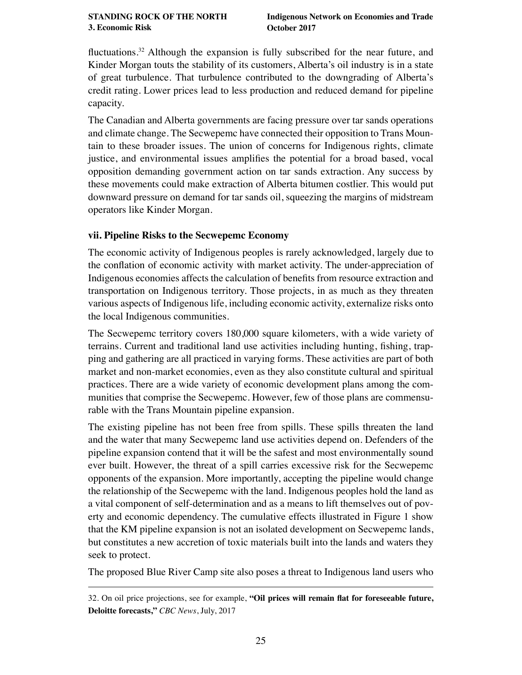<span id="page-24-0"></span>fuctuations.32 Although the expansion is fully subscribed for the near future, and Kinder Morgan touts the stability of its customers, Alberta's oil industry is in a state of great turbulence. That turbulence contributed to the downgrading of Alberta's credit rating. Lower prices lead to less production and reduced demand for pipeline capacity.

The Canadian and Alberta governments are facing pressure over tar sands operations and climate change. The Secwepemc have connected their opposition to Trans Mountain to these broader issues. The union of concerns for Indigenous rights, climate justice, and environmental issues amplifes the potential for a broad based, vocal opposition demanding government action on tar sands extraction. Any success by these movements could make extraction of Alberta bitumen costlier. This would put downward pressure on demand for tar sands oil, squeezing the margins of midstream operators like Kinder Morgan.

## **vii. Pipeline Risks to the Secwepemc Economy**

The economic activity of Indigenous peoples is rarely acknowledged, largely due to the confation of economic activity with market activity. The under-appreciation of Indigenous economies affects the calculation of benefts from resource extraction and transportation on Indigenous territory. Those projects, in as much as they threaten various aspects of Indigenous life, including economic activity, externalize risks onto the local Indigenous communities.

The Secwepemc territory covers 180,000 square kilometers, with a wide variety of terrains. Current and traditional land use activities including hunting, fshing, trapping and gathering are all practiced in varying forms. These activities are part of both market and non-market economies, even as they also constitute cultural and spiritual practices. There are a wide variety of economic development plans among the communities that comprise the Secwepemc. However, few of those plans are commensurable with the Trans Mountain pipeline expansion.

The existing pipeline has not been free from spills. These spills threaten the land and the water that many Secwepemc land use activities depend on. Defenders of the pipeline expansion contend that it will be the safest and most environmentally sound ever built. However, the threat of a spill carries excessive risk for the Secwepemc opponents of the expansion. More importantly, accepting the pipeline would change the relationship of the Secwepemc with the land. Indigenous peoples hold the land as a vital component of self-determination and as a means to lift themselves out of poverty and economic dependency. The cumulative effects illustrated in Figure 1 show that the KM pipeline expansion is not an isolated development on Secwepemc lands, but constitutes a new accretion of toxic materials built into the lands and waters they seek to protect.

The proposed Blue River Camp site also poses a threat to Indigenous land users who

<sup>32.</sup> On oil price projections, see for example, **["Oil prices will remain fat for foreseeable future,](http://www.cbc.ca/news/canada/calgary/deloitte-forecast-oil-prices-1.4190583)  [Deloitte forecasts,"](http://www.cbc.ca/news/canada/calgary/deloitte-forecast-oil-prices-1.4190583)** *CBC News*, July, 2017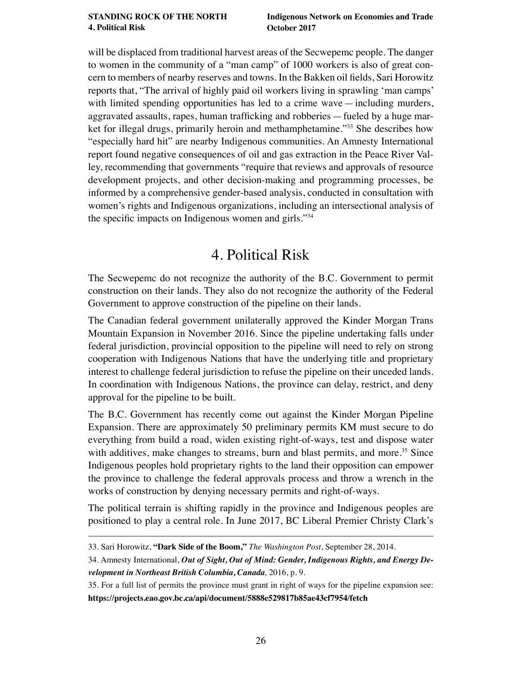<span id="page-25-0"></span>will be displaced from traditional harvest areas of the Secwepemc people. The danger to women in the community of a "man camp" of 1000 workers is also of great concern to members of nearby reserves and towns. In the Bakken oil felds, Sari Horowitz reports that, "The arrival of highly paid oil workers living in sprawling 'man camps' with limited spending opportunities has led to a crime wave—including murders, aggravated assaults, rapes, human traffcking and robberies—fueled by a huge market for illegal drugs, primarily heroin and methamphetamine."33 She describes how "especially hard hit" are nearby Indigenous communities. An Amnesty International report found negative consequences of oil and gas extraction in the Peace River Valley, recommending that governments "require that reviews and approvals of resource development projects, and other decision-making and programming processes, be informed by a comprehensive gender-based analysis, conducted in consultation with women's rights and Indigenous organizations, including an intersectional analysis of the specifc impacts on Indigenous women and girls."<sup>34</sup>

# 4. Political Risk

The Secwepemc do not recognize the authority of the B.C. Government to permit construction on their lands. They also do not recognize the authority of the Federal Government to approve construction of the pipeline on their lands.

The Canadian federal government unilaterally approved the Kinder Morgan Trans Mountain Expansion in November 2016. Since the pipeline undertaking falls under federal jurisdiction, provincial opposition to the pipeline will need to rely on strong cooperation with Indigenous Nations that have the underlying title and proprietary interest to challenge federal jurisdiction to refuse the pipeline on their unceded lands. In coordination with Indigenous Nations, the province can delay, restrict, and deny approval for the pipeline to be built.

The B.C. Government has recently come out against the Kinder Morgan Pipeline Expansion. There are approximately 50 preliminary permits KM must secure to do everything from build a road, widen existing right-of-ways, test and dispose water with additives, make changes to streams, burn and blast permits, and more.<sup>35</sup> Since Indigenous peoples hold proprietary rights to the land their opposition can empower the province to challenge the federal approvals process and throw a wrench in the works of construction by denying necessary permits and right-of-ways.

The political terrain is shifting rapidly in the province and Indigenous peoples are positioned to play a central role. In June 2017, BC Liberal Premier Christy Clark's

<sup>33.</sup> Sari Horowitz, **["Dark Side of the Boom,"](http://www.washingtonpost.com/sf/national/2014/09/28/dark-side-of-the-boom/?utm_term=.21b6bd9cf5c2)** *The Washington Post*, September 28, 2014.

<sup>34.</sup> Amnesty International, *[Out of Sight, Out of Mind: Gender, Indigenous Rights, and Energy De](https://www.amnesty.ca/sites/amnesty/files/Out%20of%20Sight%20Out%20of%20Mind%20ES%20FINAL%20EN%20CDA.pdf)[velopment in Northeast British Columbia, Canada](https://www.amnesty.ca/sites/amnesty/files/Out%20of%20Sight%20Out%20of%20Mind%20ES%20FINAL%20EN%20CDA.pdf),* 2016, p. 9.

<sup>35.</sup> For a full list of permits the province must grant in right of ways for the pipeline expansion see: **<https://projects.eao.gov.bc.ca/api/document/5888e529817b85ae43cf7954/fetch>**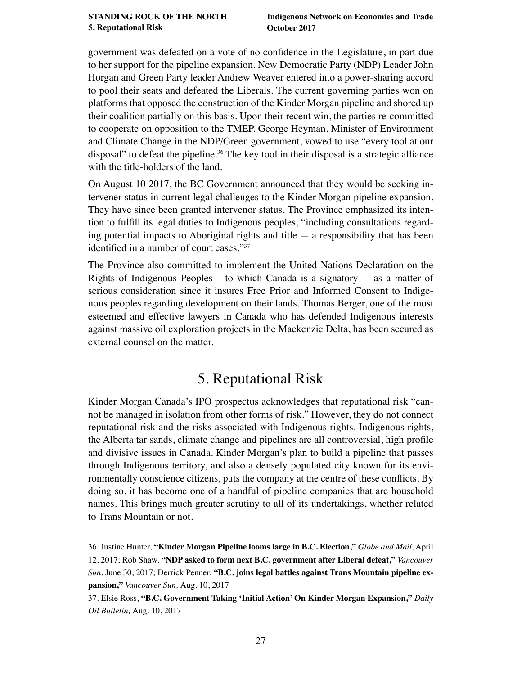<span id="page-26-0"></span>government was defeated on a vote of no confdence in the Legislature, in part due to her support for the pipeline expansion. New Democratic Party (NDP) Leader John Horgan and Green Party leader Andrew Weaver entered into a power-sharing accord to pool their seats and defeated the Liberals. The current governing parties won on platforms that opposed the construction of the Kinder Morgan pipeline and shored up their coalition partially on this basis. Upon their recent win, the parties re-committed to cooperate on opposition to the TMEP. George Heyman, Minister of Environment and Climate Change in the NDP/Green government, vowed to use "every tool at our disposal" to defeat the pipeline.<sup>36</sup> The key tool in their disposal is a strategic alliance with the title-holders of the land.

On August 10 2017, the BC Government announced that they would be seeking intervener status in current legal challenges to the Kinder Morgan pipeline expansion. They have since been granted intervenor status. The Province emphasized its intention to fulfll its legal duties to Indigenous peoples, "including consultations regarding potential impacts to Aboriginal rights and title  $-$  a responsibility that has been identifed in a number of court cases."<sup>37</sup>

The Province also committed to implement the United Nations Declaration on the Rights of Indigenous Peoples — to which Canada is a signatory — as a matter of serious consideration since it insures Free Prior and Informed Consent to Indigenous peoples regarding development on their lands. Thomas Berger, one of the most esteemed and effective lawyers in Canada who has defended Indigenous interests against massive oil exploration projects in the Mackenzie Delta, has been secured as external counsel on the matter.

# 5. Reputational Risk

Kinder Morgan Canada's IPO prospectus acknowledges that reputational risk "cannot be managed in isolation from other forms of risk." However, they do not connect reputational risk and the risks associated with Indigenous rights. Indigenous rights, the Alberta tar sands, climate change and pipelines are all controversial, high profle and divisive issues in Canada. Kinder Morgan's plan to build a pipeline that passes through Indigenous territory, and also a densely populated city known for its environmentally conscience citizens, puts the company at the centre of these conficts. By doing so, it has become one of a handful of pipeline companies that are household names. This brings much greater scrutiny to all of its undertakings, whether related to Trans Mountain or not.

<sup>36.</sup> Justine Hunter, **["Kinder Morgan Pipeline looms large in B.C. Election,"](https://beta.theglobeandmail.com/news/british-columbia/kinder-morgan-pipeline-looms-large-in-bc-election/article34694658/?ref=http://www.theglobeandmail.com&)** *Globe and Mail*, April

<sup>12, 2017;</sup> Rob Shaw, **["NDP asked to form next B.C. government after Liberal defeat,"](http://vancouversun.com/news/politics/b-c-ndp-asked-to-form-government-after-liberal-defeat)** *Vancouver Sun*, June 30, 2017; Derrick Penner, **["B.C. joins legal battles against Trans Mountain pipeline ex](http://vancouversun.com/news/local-news/live-b-c-government-to-announce-steps-against-trans-mountain-pipeline)[pansion,"](http://vancouversun.com/news/local-news/live-b-c-government-to-announce-steps-against-trans-mountain-pipeline)** *Vancouver Sun,* Aug. 10, 2017

<sup>37.</sup> Elsie Ross, **["B.C. Government Taking 'Initial Action' On Kinder Morgan Expansion,"](http://www.dailyoilbulletin.com/article/2017/8/10/bc-government-taking-initial-action-kinder-morgan-/)** *Daily Oil Bulletin,* Aug. 10, 2017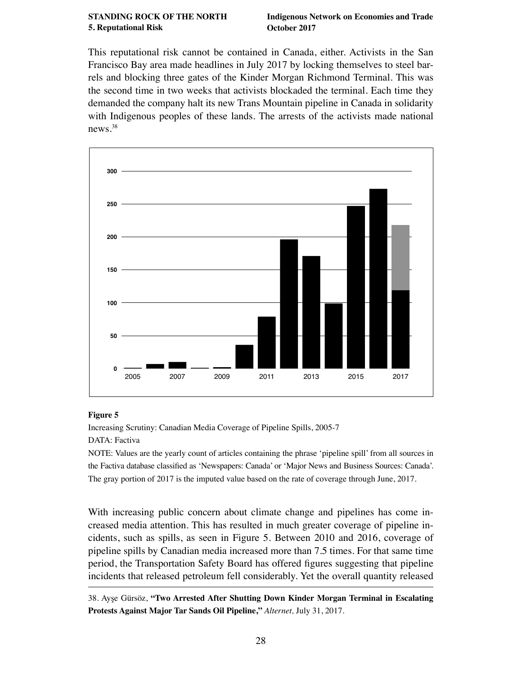This reputational risk cannot be contained in Canada, either. Activists in the San Francisco Bay area made headlines in July 2017 by locking themselves to steel barrels and blocking three gates of the Kinder Morgan Richmond Terminal. This was the second time in two weeks that activists blockaded the terminal. Each time they demanded the company halt its new Trans Mountain pipeline in Canada in solidarity with Indigenous peoples of these lands. The arrests of the activists made national news.38



#### **Figure 5**

Increasing Scrutiny: Canadian Media Coverage of Pipeline Spills, 2005-7 DATA: Factiva

NOTE: Values are the yearly count of articles containing the phrase 'pipeline spill' from all sources in the Factiva database classifed as 'Newspapers: Canada' or 'Major News and Business Sources: Canada'. The gray portion of 2017 is the imputed value based on the rate of coverage through June, 2017.

With increasing public concern about climate change and pipelines has come increased media attention. This has resulted in much greater coverage of pipeline incidents, such as spills, as seen in Figure 5. Between 2010 and 2016, coverage of pipeline spills by Canadian media increased more than 7.5 times. For that same time period, the Transportation Safety Board has offered fgures suggesting that pipeline incidents that released petroleum fell considerably. Yet the overall quantity released

<sup>38.</sup> Ayşe Gürsöz, **["Two Arrested After Shutting Down Kinder Morgan Terminal in Escalating](https://www.alternet.org/environment/two-arrested-after-shutting-down-kinder-morgan-terminal-escalating-protests-against)  [Protests Against Major Tar Sands Oil Pipeline,"](https://www.alternet.org/environment/two-arrested-after-shutting-down-kinder-morgan-terminal-escalating-protests-against)** *Alternet,* July 31, 2017.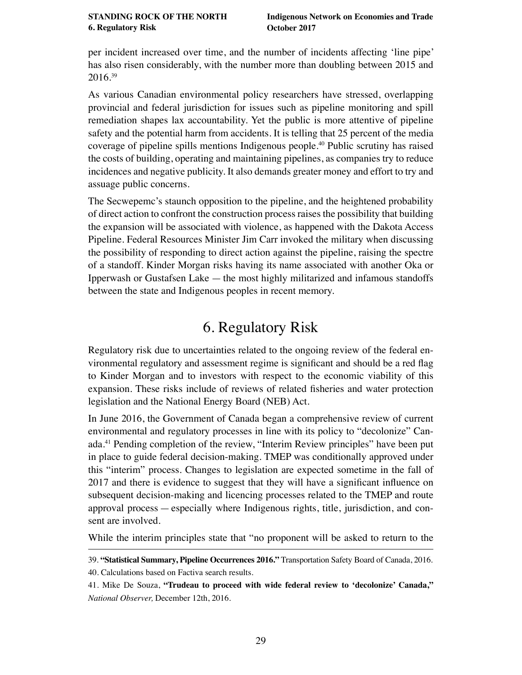<span id="page-28-0"></span>per incident increased over time, and the number of incidents affecting 'line pipe' has also risen considerably, with the number more than doubling between 2015 and 2016.39

As various Canadian environmental policy researchers have stressed, overlapping provincial and federal jurisdiction for issues such as pipeline monitoring and spill remediation shapes lax accountability. Yet the public is more attentive of pipeline safety and the potential harm from accidents. It is telling that 25 percent of the media coverage of pipeline spills mentions Indigenous people.40 Public scrutiny has raised the costs of building, operating and maintaining pipelines, as companies try to reduce incidences and negative publicity. It also demands greater money and effort to try and assuage public concerns.

The Secwepemc's staunch opposition to the pipeline, and the heightened probability of direct action to confront the construction process raises the possibility that building the expansion will be associated with violence, as happened with the Dakota Access Pipeline. Federal Resources Minister Jim Carr invoked the military when discussing the possibility of responding to direct action against the pipeline, raising the spectre of a standoff. Kinder Morgan risks having its name associated with another Oka or Ipperwash or Gustafsen Lake — the most highly militarized and infamous standoffs between the state and Indigenous peoples in recent memory.

# 6. Regulatory Risk

Regulatory risk due to uncertainties related to the ongoing review of the federal environmental regulatory and assessment regime is signifcant and should be a red fag to Kinder Morgan and to investors with respect to the economic viability of this expansion. These risks include of reviews of related fsheries and water protection legislation and the National Energy Board (NEB) Act.

In June 2016, the Government of Canada began a comprehensive review of current environmental and regulatory processes in line with its policy to "decolonize" Canada.41 Pending completion of the review, "Interim Review principles" have been put in place to guide federal decision-making. TMEP was conditionally approved under this "interim" process. Changes to legislation are expected sometime in the fall of 2017 and there is evidence to suggest that they will have a signifcant infuence on subsequent decision-making and licencing processes related to the TMEP and route approval process — especially where Indigenous rights, title, jurisdiction, and consent are involved.

While the interim principles state that "no proponent will be asked to return to the

40. Calculations based on Factiva search results.

<sup>39.</sup> **["Statistical Summary, Pipeline Occurrences 2016."](http://www.bst-tsb.gc.ca/eng/stats/pipeline/2016/ssep-sspo-2016-tbls.asp#ssep-sspo-2016-tbl-01)** Transportation Safety Board of Canada, 2016.

<sup>41.</sup> Mike De Souza, **["Trudeau to proceed with wide federal review to 'decolonize' Canada,"](http://www.nationalobserver.com/2016/12/12/news/trudeau-proceed-wide-federal-review-decolonize-canada)** *National Observer,* December 12th, 2016.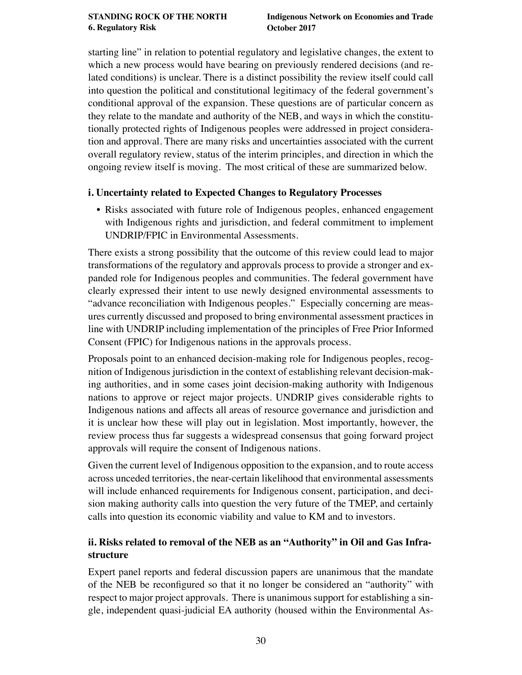<span id="page-29-0"></span>starting line" in relation to potential regulatory and legislative changes, the extent to which a new process would have bearing on previously rendered decisions (and related conditions) is unclear. There is a distinct possibility the review itself could call into question the political and constitutional legitimacy of the federal government's conditional approval of the expansion. These questions are of particular concern as they relate to the mandate and authority of the NEB, and ways in which the constitutionally protected rights of Indigenous peoples were addressed in project consideration and approval. There are many risks and uncertainties associated with the current overall regulatory review, status of the interim principles, and direction in which the ongoing review itself is moving. The most critical of these are summarized below.

## **i. Uncertainty related to Expected Changes to Regulatory Processes**

• Risks associated with future role of Indigenous peoples, enhanced engagement with Indigenous rights and jurisdiction, and federal commitment to implement UNDRIP/FPIC in Environmental Assessments.

There exists a strong possibility that the outcome of this review could lead to major transformations of the regulatory and approvals process to provide a stronger and expanded role for Indigenous peoples and communities. The federal government have clearly expressed their intent to use newly designed environmental assessments to "advance reconciliation with Indigenous peoples." Especially concerning are measures currently discussed and proposed to bring environmental assessment practices in line with UNDRIP including implementation of the principles of Free Prior Informed Consent (FPIC) for Indigenous nations in the approvals process.

Proposals point to an enhanced decision-making role for Indigenous peoples, recognition of Indigenous jurisdiction in the context of establishing relevant decision-making authorities, and in some cases joint decision-making authority with Indigenous nations to approve or reject major projects. UNDRIP gives considerable rights to Indigenous nations and affects all areas of resource governance and jurisdiction and it is unclear how these will play out in legislation. Most importantly, however, the review process thus far suggests a widespread consensus that going forward project approvals will require the consent of Indigenous nations.

Given the current level of Indigenous opposition to the expansion, and to route access across unceded territories, the near-certain likelihood that environmental assessments will include enhanced requirements for Indigenous consent, participation, and decision making authority calls into question the very future of the TMEP, and certainly calls into question its economic viability and value to KM and to investors.

## **ii. Risks related to removal of the NEB as an "Authority" in Oil and Gas Infrastructure**

Expert panel reports and federal discussion papers are unanimous that the mandate of the NEB be reconfgured so that it no longer be considered an "authority" with respect to major project approvals. There is unanimous support for establishing a single, independent quasi-judicial EA authority (housed within the Environmental As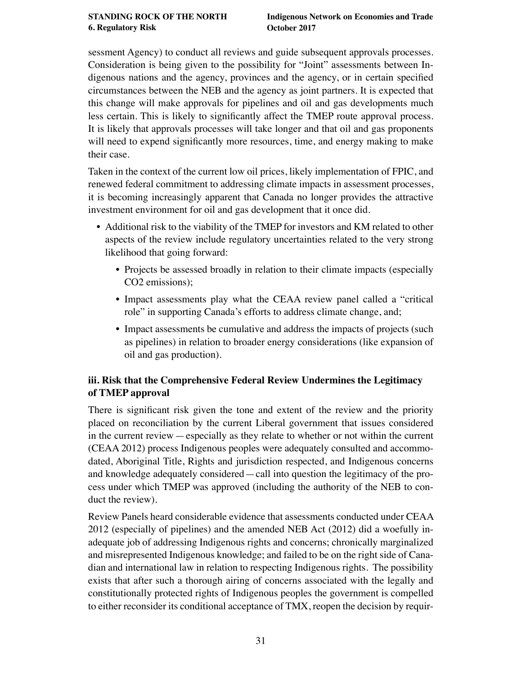<span id="page-30-0"></span>sessment Agency) to conduct all reviews and guide subsequent approvals processes. Consideration is being given to the possibility for "Joint" assessments between Indigenous nations and the agency, provinces and the agency, or in certain specifed circumstances between the NEB and the agency as joint partners. It is expected that this change will make approvals for pipelines and oil and gas developments much less certain. This is likely to signifcantly affect the TMEP route approval process. It is likely that approvals processes will take longer and that oil and gas proponents will need to expend signifcantly more resources, time, and energy making to make their case.

Taken in the context of the current low oil prices, likely implementation of FPIC, and renewed federal commitment to addressing climate impacts in assessment processes, it is becoming increasingly apparent that Canada no longer provides the attractive investment environment for oil and gas development that it once did.

- Additional risk to the viability of the TMEP for investors and KM related to other aspects of the review include regulatory uncertainties related to the very strong likelihood that going forward:
	- Projects be assessed broadly in relation to their climate impacts (especially CO2 emissions);
	- Impact assessments play what the CEAA review panel called a "critical role" in supporting Canada's efforts to address climate change, and;
	- Impact assessments be cumulative and address the impacts of projects (such as pipelines) in relation to broader energy considerations (like expansion of oil and gas production).

## **iii. Risk that the Comprehensive Federal Review Undermines the Legitimacy of TMEP approval**

There is signifcant risk given the tone and extent of the review and the priority placed on reconciliation by the current Liberal government that issues considered in the current review — especially as they relate to whether or not within the current (CEAA 2012) process Indigenous peoples were adequately consulted and accommodated, Aboriginal Title, Rights and jurisdiction respected, and Indigenous concerns and knowledge adequately considered — call into question the legitimacy of the process under which TMEP was approved (including the authority of the NEB to conduct the review).

Review Panels heard considerable evidence that assessments conducted under CEAA 2012 (especially of pipelines) and the amended NEB Act (2012) did a woefully inadequate job of addressing Indigenous rights and concerns; chronically marginalized and misrepresented Indigenous knowledge; and failed to be on the right side of Canadian and international law in relation to respecting Indigenous rights. The possibility exists that after such a thorough airing of concerns associated with the legally and constitutionally protected rights of Indigenous peoples the government is compelled to either reconsider its conditional acceptance of TMX, reopen the decision by requir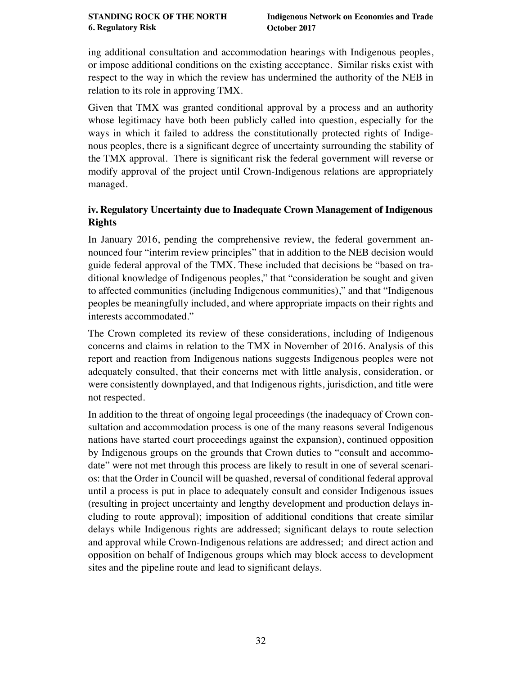<span id="page-31-0"></span>ing additional consultation and accommodation hearings with Indigenous peoples, or impose additional conditions on the existing acceptance. Similar risks exist with respect to the way in which the review has undermined the authority of the NEB in relation to its role in approving TMX.

Given that TMX was granted conditional approval by a process and an authority whose legitimacy have both been publicly called into question, especially for the ways in which it failed to address the constitutionally protected rights of Indigenous peoples, there is a signifcant degree of uncertainty surrounding the stability of the TMX approval. There is signifcant risk the federal government will reverse or modify approval of the project until Crown-Indigenous relations are appropriately managed.

## **iv. Regulatory Uncertainty due to Inadequate Crown Management of Indigenous Rights**

In January 2016, pending the comprehensive review, the federal government announced four "interim review principles" that in addition to the NEB decision would guide federal approval of the TMX. These included that decisions be "based on traditional knowledge of Indigenous peoples," that "consideration be sought and given to affected communities (including Indigenous communities)," and that "Indigenous peoples be meaningfully included, and where appropriate impacts on their rights and interests accommodated."

The Crown completed its review of these considerations, including of Indigenous concerns and claims in relation to the TMX in November of 2016. Analysis of this report and reaction from Indigenous nations suggests Indigenous peoples were not adequately consulted, that their concerns met with little analysis, consideration, or were consistently downplayed, and that Indigenous rights, jurisdiction, and title were not respected.

In addition to the threat of ongoing legal proceedings (the inadequacy of Crown consultation and accommodation process is one of the many reasons several Indigenous nations have started court proceedings against the expansion), continued opposition by Indigenous groups on the grounds that Crown duties to "consult and accommodate" were not met through this process are likely to result in one of several scenarios: that the Order in Council will be quashed, reversal of conditional federal approval until a process is put in place to adequately consult and consider Indigenous issues (resulting in project uncertainty and lengthy development and production delays including to route approval); imposition of additional conditions that create similar delays while Indigenous rights are addressed; signifcant delays to route selection and approval while Crown-Indigenous relations are addressed; and direct action and opposition on behalf of Indigenous groups which may block access to development sites and the pipeline route and lead to signifcant delays.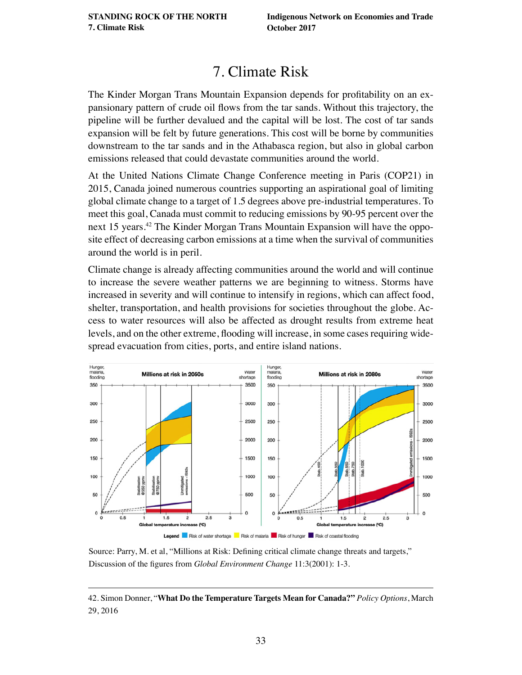# 7. Climate Risk

<span id="page-32-0"></span>The Kinder Morgan Trans Mountain Expansion depends for proftability on an expansionary pattern of crude oil fows from the tar sands. Without this trajectory, the pipeline will be further devalued and the capital will be lost. The cost of tar sands expansion will be felt by future generations. This cost will be borne by communities downstream to the tar sands and in the Athabasca region, but also in global carbon emissions released that could devastate communities around the world.

At the United Nations Climate Change Conference meeting in Paris (COP21) in 2015, Canada joined numerous countries supporting an aspirational goal of limiting global climate change to a target of 1.5 degrees above pre-industrial temperatures. To meet this goal, Canada must commit to reducing emissions by 90-95 percent over the next 15 years.42 The Kinder Morgan Trans Mountain Expansion will have the opposite effect of decreasing carbon emissions at a time when the survival of communities around the world is in peril.

Climate change is already affecting communities around the world and will continue to increase the severe weather patterns we are beginning to witness. Storms have increased in severity and will continue to intensify in regions, which can affect food, shelter, transportation, and health provisions for societies throughout the globe. Access to water resources will also be affected as drought results from extreme heat levels, and on the other extreme, fooding will increase, in some cases requiring widespread evacuation from cities, ports, and entire island nations.



Source: Parry, M. et al, "Millions at Risk: Defning critical climate change threats and targets," Discussion of the fgures from *Global Environment Change* 11:3(2001): 1-3.

<sup>42.</sup> Simon Donner, "**[What Do the Temperature Targets Mean for Canada?"](http://policyoptions.irpp.org/magazines/march-2016/what-do-the-temperature-targets-mean-for-canada/)** *Policy Options*, March 29, 2016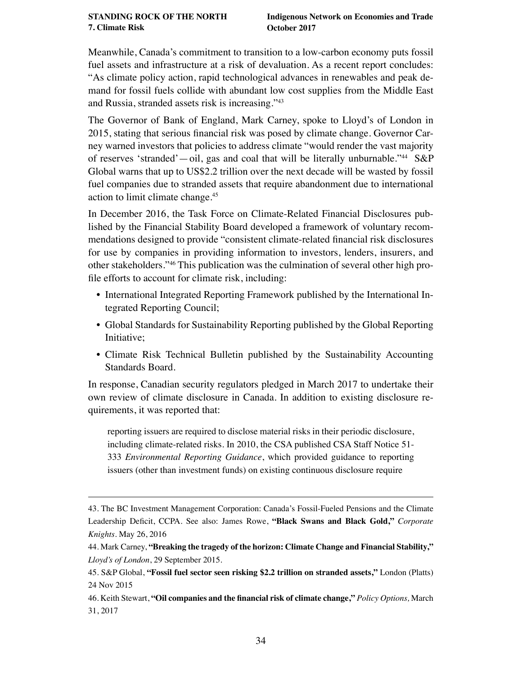Meanwhile, Canada's commitment to transition to a low-carbon economy puts fossil fuel assets and infrastructure at a risk of devaluation. As a recent report concludes: "As climate policy action, rapid technological advances in renewables and peak demand for fossil fuels collide with abundant low cost supplies from the Middle East and Russia, stranded assets risk is increasing."43

The Governor of Bank of England, Mark Carney, spoke to Lloyd's of London in 2015, stating that serious fnancial risk was posed by climate change. Governor Carney warned investors that policies to address climate "would render the vast majority of reserves 'stranded'—oil, gas and coal that will be literally unburnable."<sup>44</sup> S&P Global warns that up to US\$2.2 trillion over the next decade will be wasted by fossil fuel companies due to stranded assets that require abandonment due to international action to limit climate change.45

In December 2016, the Task Force on Climate-Related Financial Disclosures published by the Financial Stability Board developed a framework of voluntary recommendations designed to provide "consistent climate-related fnancial risk disclosures for use by companies in providing information to investors, lenders, insurers, and other stakeholders."46 This publication was the culmination of several other high profle efforts to account for climate risk, including:

- International Integrated Reporting Framework published by the International Integrated Reporting Council;
- Global Standards for Sustainability Reporting published by the Global Reporting Initiative;
- Climate Risk Technical Bulletin published by the Sustainability Accounting Standards Board.

In response, Canadian security regulators pledged in March 2017 to undertake their own review of climate disclosure in Canada. In addition to existing disclosure requirements, it was reported that:

reporting issuers are required to disclose material risks in their periodic disclosure, including climate-related risks. In 2010, the CSA published CSA Staff Notice 51- 333 *Environmental Reporting Guidance*, which provided guidance to reporting issuers (other than investment funds) on existing continuous disclosure require

<sup>43.</sup> The BC Investment Management Corporation: Canada's Fossil-Fueled Pensions and the Climate Leadership Defcit, CCPA. See also: James Rowe, **["Black Swans and Black Gold,"](http://www.corporateknights.com/channels/climate-and-carbon/black-swans-and-black-gold-14642424/)** *Corporate Knights.* May 26, 2016

<sup>44.</sup> Mark Carney, **["Breaking the tragedy of the horizon: Climate Change and Financial Stability,"](https://www.youtube.com/watch?v=V5c-eqNxeSQ)**  *Lloyd's of London*, 29 September 2015.

<sup>45.</sup> S&P Global, **["Fossil fuel sector seen risking \\$2.2 trillion on stranded assets,"](https://www.platts.com/latest-news/natural-gas/london/fossil-fuel-sector-seen-risking-22-trillion-on-26288566)** London (Platts) 24 Nov 2015

<sup>46.</sup> Keith Stewart, **["Oil companies and the fnancial risk of climate change,"](http://policyoptions.irpp.org/fr/magazines/mars-2017/oil-companies-and-the-financial-risk-of-climate-change)** *Policy Options,* March 31, 2017